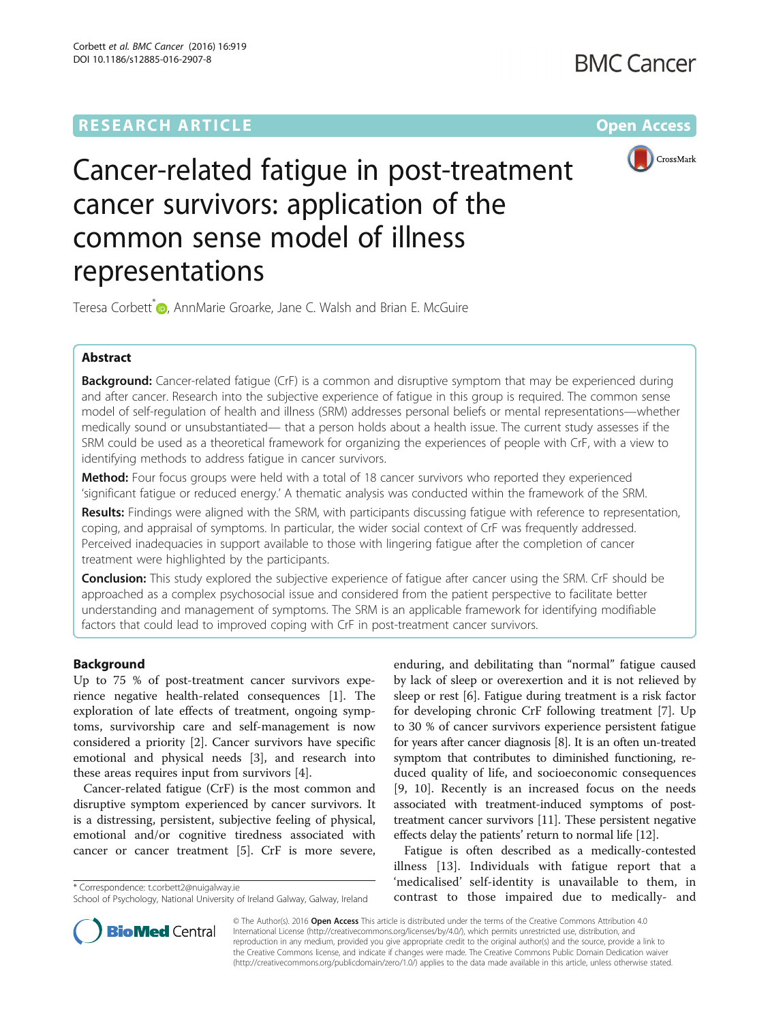# **RESEARCH ARTICLE External Structure Community Community Community Community Community Community Community Community**



# Cancer-related fatigue in post-treatment cancer survivors: application of the common sense model of illness representations

Teresa Corbett<sup>\*</sup> **D**, AnnMarie Groarke, Jane C. Walsh and Brian E. McGuire

# Abstract

**Background:** Cancer-related fatigue (CrF) is a common and disruptive symptom that may be experienced during and after cancer. Research into the subjective experience of fatigue in this group is required. The common sense model of self-regulation of health and illness (SRM) addresses personal beliefs or mental representations—whether medically sound or unsubstantiated— that a person holds about a health issue. The current study assesses if the SRM could be used as a theoretical framework for organizing the experiences of people with CrF, with a view to identifying methods to address fatigue in cancer survivors.

Method: Four focus groups were held with a total of 18 cancer survivors who reported they experienced 'significant fatigue or reduced energy.' A thematic analysis was conducted within the framework of the SRM.

Results: Findings were aligned with the SRM, with participants discussing fatigue with reference to representation, coping, and appraisal of symptoms. In particular, the wider social context of CrF was frequently addressed. Perceived inadequacies in support available to those with lingering fatigue after the completion of cancer treatment were highlighted by the participants.

**Conclusion:** This study explored the subjective experience of fatigue after cancer using the SRM. CrF should be approached as a complex psychosocial issue and considered from the patient perspective to facilitate better understanding and management of symptoms. The SRM is an applicable framework for identifying modifiable factors that could lead to improved coping with CrF in post-treatment cancer survivors.

#### Background

Up to 75 % of post-treatment cancer survivors experience negative health-related consequences [\[1](#page-15-0)]. The exploration of late effects of treatment, ongoing symptoms, survivorship care and self-management is now considered a priority [\[2](#page-15-0)]. Cancer survivors have specific emotional and physical needs [\[3](#page-15-0)], and research into these areas requires input from survivors [\[4\]](#page-15-0).

Cancer-related fatigue (CrF) is the most common and disruptive symptom experienced by cancer survivors. It is a distressing, persistent, subjective feeling of physical, emotional and/or cognitive tiredness associated with cancer or cancer treatment [[5\]](#page-15-0). CrF is more severe,

enduring, and debilitating than "normal" fatigue caused by lack of sleep or overexertion and it is not relieved by sleep or rest [\[6](#page-15-0)]. Fatigue during treatment is a risk factor for developing chronic CrF following treatment [[7\]](#page-15-0). Up to 30 % of cancer survivors experience persistent fatigue for years after cancer diagnosis [\[8\]](#page-15-0). It is an often un-treated symptom that contributes to diminished functioning, reduced quality of life, and socioeconomic consequences [[9, 10](#page-15-0)]. Recently is an increased focus on the needs associated with treatment-induced symptoms of posttreatment cancer survivors [[11\]](#page-15-0). These persistent negative effects delay the patients' return to normal life [\[12\]](#page-15-0).

Fatigue is often described as a medically-contested illness [[13\]](#page-15-0). Individuals with fatigue report that a 'medicalised' self-identity is unavailable to them, in correspondence: [t.corbett2@nuigalway.ie](mailto:t.corbett2@nuigalway.ie)<br>School of Psychology, National University of Ireland Galway, Galway, Ireland **contrast to those impaired due to medically- and** 



© The Author(s). 2016 Open Access This article is distributed under the terms of the Creative Commons Attribution 4.0 International License [\(http://creativecommons.org/licenses/by/4.0/](http://creativecommons.org/licenses/by/4.0/)), which permits unrestricted use, distribution, and reproduction in any medium, provided you give appropriate credit to the original author(s) and the source, provide a link to the Creative Commons license, and indicate if changes were made. The Creative Commons Public Domain Dedication waiver [\(http://creativecommons.org/publicdomain/zero/1.0/](http://creativecommons.org/publicdomain/zero/1.0/)) applies to the data made available in this article, unless otherwise stated.

School of Psychology, National University of Ireland Galway, Galway, Ireland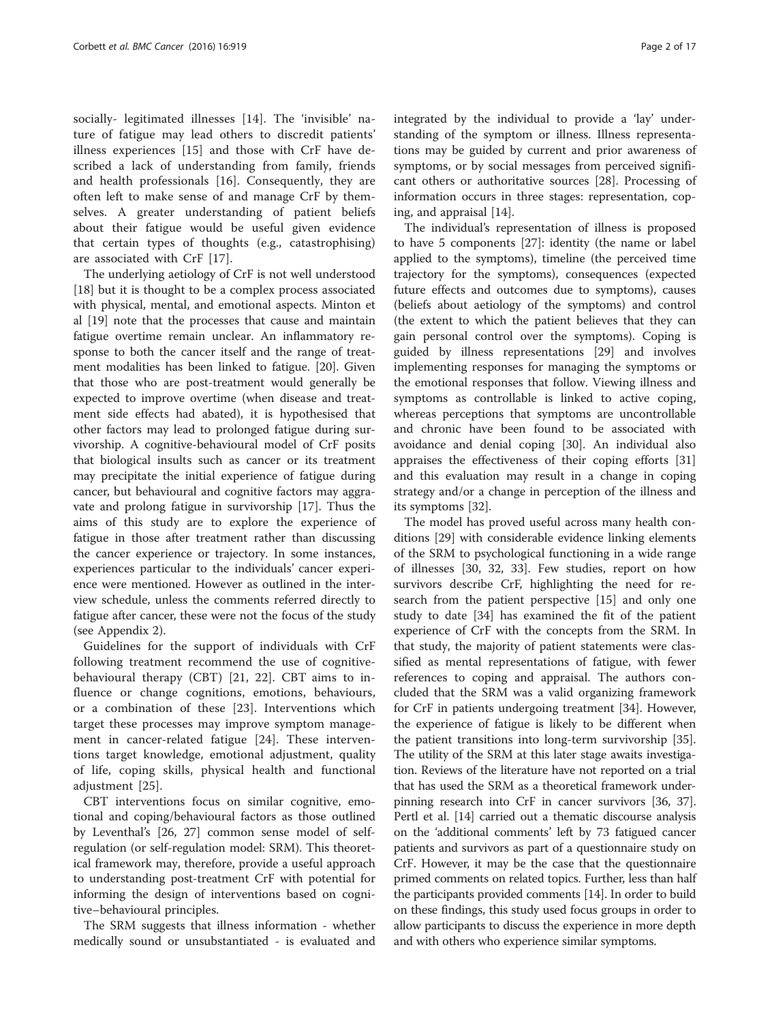socially- legitimated illnesses [[14\]](#page-15-0). The 'invisible' nature of fatigue may lead others to discredit patients' illness experiences [[15\]](#page-15-0) and those with CrF have described a lack of understanding from family, friends and health professionals [\[16](#page-15-0)]. Consequently, they are often left to make sense of and manage CrF by themselves. A greater understanding of patient beliefs about their fatigue would be useful given evidence that certain types of thoughts (e.g., catastrophising) are associated with CrF [[17\]](#page-15-0).

The underlying aetiology of CrF is not well understood [[18\]](#page-15-0) but it is thought to be a complex process associated with physical, mental, and emotional aspects. Minton et al [[19\]](#page-15-0) note that the processes that cause and maintain fatigue overtime remain unclear. An inflammatory response to both the cancer itself and the range of treatment modalities has been linked to fatigue. [\[20](#page-15-0)]. Given that those who are post-treatment would generally be expected to improve overtime (when disease and treatment side effects had abated), it is hypothesised that other factors may lead to prolonged fatigue during survivorship. A cognitive-behavioural model of CrF posits that biological insults such as cancer or its treatment may precipitate the initial experience of fatigue during cancer, but behavioural and cognitive factors may aggravate and prolong fatigue in survivorship [\[17](#page-15-0)]. Thus the aims of this study are to explore the experience of fatigue in those after treatment rather than discussing the cancer experience or trajectory. In some instances, experiences particular to the individuals' cancer experience were mentioned. However as outlined in the interview schedule, unless the comments referred directly to fatigue after cancer, these were not the focus of the study (see [Appendix 2\)](#page-13-0).

Guidelines for the support of individuals with CrF following treatment recommend the use of cognitivebehavioural therapy (CBT) [\[21](#page-15-0), [22](#page-15-0)]. CBT aims to influence or change cognitions, emotions, behaviours, or a combination of these [\[23](#page-15-0)]. Interventions which target these processes may improve symptom management in cancer-related fatigue [\[24](#page-15-0)]. These interventions target knowledge, emotional adjustment, quality of life, coping skills, physical health and functional adjustment [\[25](#page-15-0)].

CBT interventions focus on similar cognitive, emotional and coping/behavioural factors as those outlined by Leventhal's [[26, 27\]](#page-15-0) common sense model of selfregulation (or self-regulation model: SRM). This theoretical framework may, therefore, provide a useful approach to understanding post-treatment CrF with potential for informing the design of interventions based on cognitive–behavioural principles.

The SRM suggests that illness information - whether medically sound or unsubstantiated - is evaluated and integrated by the individual to provide a 'lay' understanding of the symptom or illness. Illness representations may be guided by current and prior awareness of symptoms, or by social messages from perceived significant others or authoritative sources [\[28](#page-15-0)]. Processing of information occurs in three stages: representation, coping, and appraisal [[14\]](#page-15-0).

The individual's representation of illness is proposed to have 5 components [\[27\]](#page-15-0): identity (the name or label applied to the symptoms), timeline (the perceived time trajectory for the symptoms), consequences (expected future effects and outcomes due to symptoms), causes (beliefs about aetiology of the symptoms) and control (the extent to which the patient believes that they can gain personal control over the symptoms). Coping is guided by illness representations [[29](#page-15-0)] and involves implementing responses for managing the symptoms or the emotional responses that follow. Viewing illness and symptoms as controllable is linked to active coping, whereas perceptions that symptoms are uncontrollable and chronic have been found to be associated with avoidance and denial coping [[30\]](#page-15-0). An individual also appraises the effectiveness of their coping efforts [[31](#page-15-0)] and this evaluation may result in a change in coping strategy and/or a change in perception of the illness and its symptoms [\[32](#page-15-0)].

The model has proved useful across many health conditions [\[29](#page-15-0)] with considerable evidence linking elements of the SRM to psychological functioning in a wide range of illnesses [\[30](#page-15-0), [32, 33](#page-15-0)]. Few studies, report on how survivors describe CrF, highlighting the need for research from the patient perspective [\[15\]](#page-15-0) and only one study to date [\[34](#page-15-0)] has examined the fit of the patient experience of CrF with the concepts from the SRM. In that study, the majority of patient statements were classified as mental representations of fatigue, with fewer references to coping and appraisal. The authors concluded that the SRM was a valid organizing framework for CrF in patients undergoing treatment [[34\]](#page-15-0). However, the experience of fatigue is likely to be different when the patient transitions into long-term survivorship [\[35](#page-15-0)]. The utility of the SRM at this later stage awaits investigation. Reviews of the literature have not reported on a trial that has used the SRM as a theoretical framework underpinning research into CrF in cancer survivors [\[36, 37](#page-15-0)]. Pertl et al. [\[14](#page-15-0)] carried out a thematic discourse analysis on the 'additional comments' left by 73 fatigued cancer patients and survivors as part of a questionnaire study on CrF. However, it may be the case that the questionnaire primed comments on related topics. Further, less than half the participants provided comments [[14\]](#page-15-0). In order to build on these findings, this study used focus groups in order to allow participants to discuss the experience in more depth and with others who experience similar symptoms.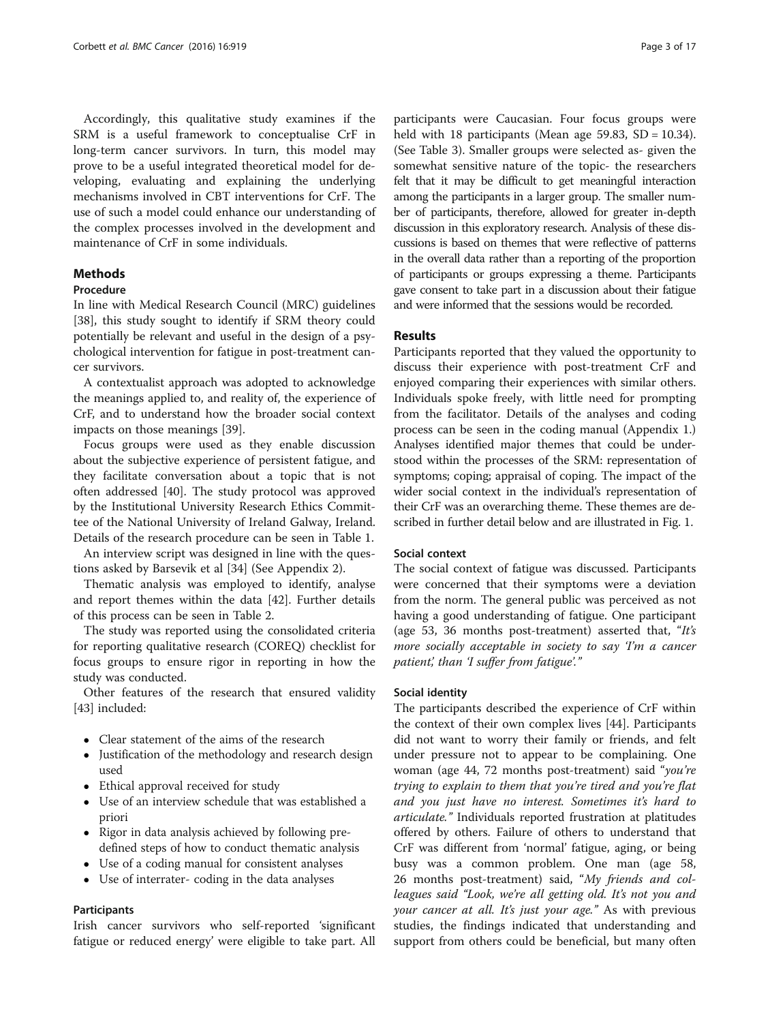Accordingly, this qualitative study examines if the SRM is a useful framework to conceptualise CrF in long-term cancer survivors. In turn, this model may prove to be a useful integrated theoretical model for developing, evaluating and explaining the underlying mechanisms involved in CBT interventions for CrF. The use of such a model could enhance our understanding of the complex processes involved in the development and maintenance of CrF in some individuals.

#### **Methods**

#### Procedure

In line with Medical Research Council (MRC) guidelines [[38\]](#page-15-0), this study sought to identify if SRM theory could potentially be relevant and useful in the design of a psychological intervention for fatigue in post-treatment cancer survivors.

A contextualist approach was adopted to acknowledge the meanings applied to, and reality of, the experience of CrF, and to understand how the broader social context impacts on those meanings [[39](#page-15-0)].

Focus groups were used as they enable discussion about the subjective experience of persistent fatigue, and they facilitate conversation about a topic that is not often addressed [\[40](#page-15-0)]. The study protocol was approved by the Institutional University Research Ethics Committee of the National University of Ireland Galway, Ireland. Details of the research procedure can be seen in Table [1](#page-3-0).

An interview script was designed in line with the questions asked by Barsevik et al [[34](#page-15-0)] (See [Appendix 2](#page-13-0)).

Thematic analysis was employed to identify, analyse and report themes within the data [\[42](#page-15-0)]. Further details of this process can be seen in Table [2](#page-4-0).

The study was reported using the consolidated criteria for reporting qualitative research (COREQ) checklist for focus groups to ensure rigor in reporting in how the study was conducted.

Other features of the research that ensured validity [[43\]](#page-15-0) included:

- Clear statement of the aims of the research
- Justification of the methodology and research design used
- Ethical approval received for study
- Use of an interview schedule that was established a priori
- Rigor in data analysis achieved by following predefined steps of how to conduct thematic analysis
- Use of a coding manual for consistent analyses
- Use of interrater- coding in the data analyses

#### Participants

Irish cancer survivors who self-reported 'significant fatigue or reduced energy' were eligible to take part. All

participants were Caucasian. Four focus groups were held with 18 participants (Mean age 59.83,  $SD = 10.34$ ). (See Table [3\)](#page-5-0). Smaller groups were selected as- given the somewhat sensitive nature of the topic- the researchers felt that it may be difficult to get meaningful interaction among the participants in a larger group. The smaller number of participants, therefore, allowed for greater in-depth discussion in this exploratory research. Analysis of these discussions is based on themes that were reflective of patterns in the overall data rather than a reporting of the proportion of participants or groups expressing a theme. Participants gave consent to take part in a discussion about their fatigue and were informed that the sessions would be recorded.

#### Results

Participants reported that they valued the opportunity to discuss their experience with post-treatment CrF and enjoyed comparing their experiences with similar others. Individuals spoke freely, with little need for prompting from the facilitator. Details of the analyses and coding process can be seen in the coding manual [\(Appendix 1](#page-12-0).) Analyses identified major themes that could be understood within the processes of the SRM: representation of symptoms; coping; appraisal of coping. The impact of the wider social context in the individual's representation of their CrF was an overarching theme. These themes are described in further detail below and are illustrated in Fig. [1](#page-6-0).

### Social context

The social context of fatigue was discussed. Participants were concerned that their symptoms were a deviation from the norm. The general public was perceived as not having a good understanding of fatigue. One participant (age 53, 36 months post-treatment) asserted that, "It's more socially acceptable in society to say 'I'm a cancer patient, than 'I suffer from fatigue'."

#### Social identity

The participants described the experience of CrF within the context of their own complex lives [[44\]](#page-15-0). Participants did not want to worry their family or friends, and felt under pressure not to appear to be complaining. One woman (age 44, 72 months post-treatment) said "you're trying to explain to them that you're tired and you're flat and you just have no interest. Sometimes it's hard to articulate." Individuals reported frustration at platitudes offered by others. Failure of others to understand that CrF was different from 'normal' fatigue, aging, or being busy was a common problem. One man (age 58, 26 months post-treatment) said, "My friends and colleagues said "Look, we're all getting old. It's not you and your cancer at all. It's just your age." As with previous studies, the findings indicated that understanding and support from others could be beneficial, but many often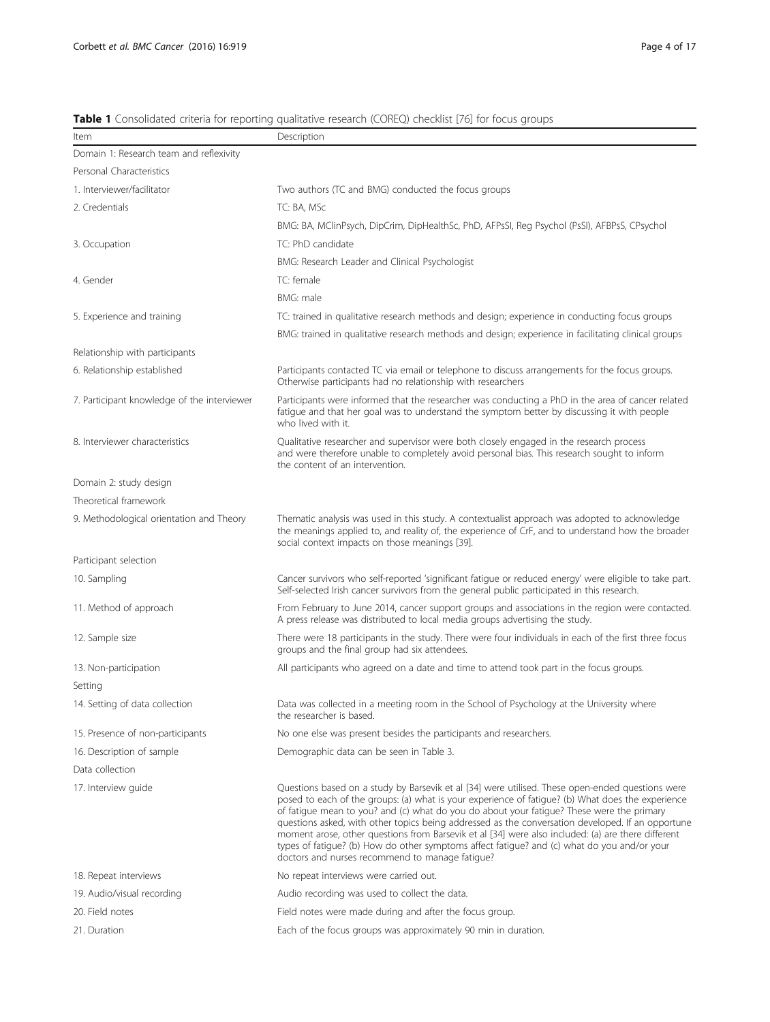| Item                                        | Description                                                                                                                                                                                                                                                                                                                                                                                                                                                                                                                                                                                                                                                     |  |  |  |
|---------------------------------------------|-----------------------------------------------------------------------------------------------------------------------------------------------------------------------------------------------------------------------------------------------------------------------------------------------------------------------------------------------------------------------------------------------------------------------------------------------------------------------------------------------------------------------------------------------------------------------------------------------------------------------------------------------------------------|--|--|--|
| Domain 1: Research team and reflexivity     |                                                                                                                                                                                                                                                                                                                                                                                                                                                                                                                                                                                                                                                                 |  |  |  |
| Personal Characteristics                    |                                                                                                                                                                                                                                                                                                                                                                                                                                                                                                                                                                                                                                                                 |  |  |  |
| 1. Interviewer/facilitator                  | Two authors (TC and BMG) conducted the focus groups                                                                                                                                                                                                                                                                                                                                                                                                                                                                                                                                                                                                             |  |  |  |
| 2. Credentials                              | TC: BA, MSc                                                                                                                                                                                                                                                                                                                                                                                                                                                                                                                                                                                                                                                     |  |  |  |
|                                             | BMG: BA, MClinPsych, DipCrim, DipHealthSc, PhD, AFPsSI, Reg Psychol (PsSI), AFBPsS, CPsychol                                                                                                                                                                                                                                                                                                                                                                                                                                                                                                                                                                    |  |  |  |
| 3. Occupation                               | TC: PhD candidate                                                                                                                                                                                                                                                                                                                                                                                                                                                                                                                                                                                                                                               |  |  |  |
|                                             | BMG: Research Leader and Clinical Psychologist                                                                                                                                                                                                                                                                                                                                                                                                                                                                                                                                                                                                                  |  |  |  |
| 4. Gender                                   | TC: female                                                                                                                                                                                                                                                                                                                                                                                                                                                                                                                                                                                                                                                      |  |  |  |
|                                             | BMG: male                                                                                                                                                                                                                                                                                                                                                                                                                                                                                                                                                                                                                                                       |  |  |  |
| 5. Experience and training                  | TC: trained in qualitative research methods and design; experience in conducting focus groups                                                                                                                                                                                                                                                                                                                                                                                                                                                                                                                                                                   |  |  |  |
|                                             | BMG: trained in qualitative research methods and design; experience in facilitating clinical groups                                                                                                                                                                                                                                                                                                                                                                                                                                                                                                                                                             |  |  |  |
| Relationship with participants              |                                                                                                                                                                                                                                                                                                                                                                                                                                                                                                                                                                                                                                                                 |  |  |  |
| 6. Relationship established                 | Participants contacted TC via email or telephone to discuss arrangements for the focus groups.<br>Otherwise participants had no relationship with researchers                                                                                                                                                                                                                                                                                                                                                                                                                                                                                                   |  |  |  |
| 7. Participant knowledge of the interviewer | Participants were informed that the researcher was conducting a PhD in the area of cancer related<br>fatigue and that her goal was to understand the symptom better by discussing it with people<br>who lived with it.                                                                                                                                                                                                                                                                                                                                                                                                                                          |  |  |  |
| 8. Interviewer characteristics              | Qualitative researcher and supervisor were both closely engaged in the research process<br>and were therefore unable to completely avoid personal bias. This research sought to inform<br>the content of an intervention.                                                                                                                                                                                                                                                                                                                                                                                                                                       |  |  |  |
| Domain 2: study design                      |                                                                                                                                                                                                                                                                                                                                                                                                                                                                                                                                                                                                                                                                 |  |  |  |
| Theoretical framework                       |                                                                                                                                                                                                                                                                                                                                                                                                                                                                                                                                                                                                                                                                 |  |  |  |
| 9. Methodological orientation and Theory    | Thematic analysis was used in this study. A contextualist approach was adopted to acknowledge<br>the meanings applied to, and reality of, the experience of CrF, and to understand how the broader<br>social context impacts on those meanings [39].                                                                                                                                                                                                                                                                                                                                                                                                            |  |  |  |
| Participant selection                       |                                                                                                                                                                                                                                                                                                                                                                                                                                                                                                                                                                                                                                                                 |  |  |  |
| 10. Sampling                                | Cancer survivors who self-reported 'significant fatigue or reduced energy' were eligible to take part.<br>Self-selected Irish cancer survivors from the general public participated in this research.                                                                                                                                                                                                                                                                                                                                                                                                                                                           |  |  |  |
| 11. Method of approach                      | From February to June 2014, cancer support groups and associations in the region were contacted.<br>A press release was distributed to local media groups advertising the study.                                                                                                                                                                                                                                                                                                                                                                                                                                                                                |  |  |  |
| 12. Sample size                             | There were 18 participants in the study. There were four individuals in each of the first three focus<br>groups and the final group had six attendees.                                                                                                                                                                                                                                                                                                                                                                                                                                                                                                          |  |  |  |
| 13. Non-participation                       | All participants who agreed on a date and time to attend took part in the focus groups.                                                                                                                                                                                                                                                                                                                                                                                                                                                                                                                                                                         |  |  |  |
| Setting                                     |                                                                                                                                                                                                                                                                                                                                                                                                                                                                                                                                                                                                                                                                 |  |  |  |
| 14. Setting of data collection              | Data was collected in a meeting room in the School of Psychology at the University where<br>the researcher is based.                                                                                                                                                                                                                                                                                                                                                                                                                                                                                                                                            |  |  |  |
| 15. Presence of non-participants            | No one else was present besides the participants and researchers.                                                                                                                                                                                                                                                                                                                                                                                                                                                                                                                                                                                               |  |  |  |
| 16. Description of sample                   | Demographic data can be seen in Table 3.                                                                                                                                                                                                                                                                                                                                                                                                                                                                                                                                                                                                                        |  |  |  |
| Data collection                             |                                                                                                                                                                                                                                                                                                                                                                                                                                                                                                                                                                                                                                                                 |  |  |  |
| 17. Interview guide                         | Questions based on a study by Barsevik et al [34] were utilised. These open-ended questions were<br>posed to each of the groups: (a) what is your experience of fatigue? (b) What does the experience<br>of fatigue mean to you? and (c) what do you do about your fatigue? These were the primary<br>questions asked, with other topics being addressed as the conversation developed. If an opportune<br>moment arose, other questions from Barsevik et al [34] were also included: (a) are there different<br>types of fatigue? (b) How do other symptoms affect fatigue? and (c) what do you and/or your<br>doctors and nurses recommend to manage fatigue? |  |  |  |
| 18. Repeat interviews                       | No repeat interviews were carried out.                                                                                                                                                                                                                                                                                                                                                                                                                                                                                                                                                                                                                          |  |  |  |
| 19. Audio/visual recording                  | Audio recording was used to collect the data.                                                                                                                                                                                                                                                                                                                                                                                                                                                                                                                                                                                                                   |  |  |  |
| 20. Field notes                             | Field notes were made during and after the focus group.                                                                                                                                                                                                                                                                                                                                                                                                                                                                                                                                                                                                         |  |  |  |
| 21. Duration                                | Each of the focus groups was approximately 90 min in duration.                                                                                                                                                                                                                                                                                                                                                                                                                                                                                                                                                                                                  |  |  |  |

<span id="page-3-0"></span>Table 1 Consolidated criteria for reporting qualitative research (COREQ) checklist [\[76\]](#page-16-0) for focus groups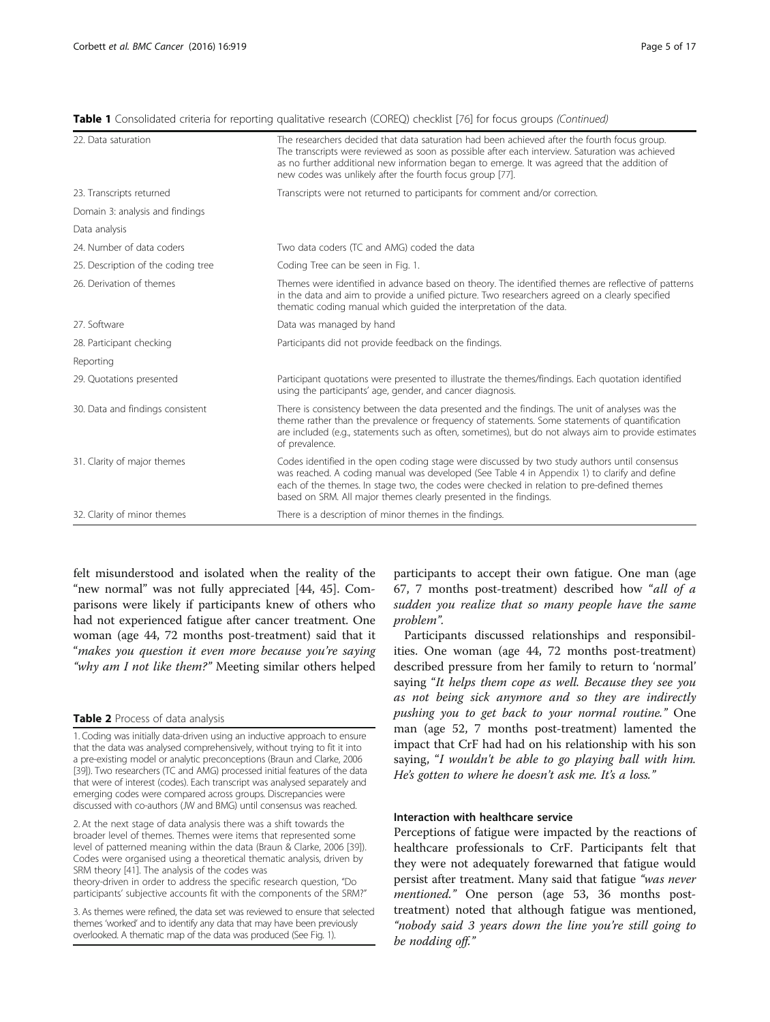#### <span id="page-4-0"></span>Table 1 Consolidated criteria for reporting qualitative research (COREQ) checklist [\[76\]](#page-14-0) for focus groups (Continued)

| 22. Data saturation                | The researchers decided that data saturation had been achieved after the fourth focus group.<br>The transcripts were reviewed as soon as possible after each interview. Saturation was achieved<br>as no further additional new information began to emerge. It was agreed that the addition of<br>new codes was unlikely after the fourth focus group [77].     |  |  |  |  |
|------------------------------------|------------------------------------------------------------------------------------------------------------------------------------------------------------------------------------------------------------------------------------------------------------------------------------------------------------------------------------------------------------------|--|--|--|--|
| 23. Transcripts returned           | Transcripts were not returned to participants for comment and/or correction.                                                                                                                                                                                                                                                                                     |  |  |  |  |
| Domain 3: analysis and findings    |                                                                                                                                                                                                                                                                                                                                                                  |  |  |  |  |
| Data analysis                      |                                                                                                                                                                                                                                                                                                                                                                  |  |  |  |  |
| 24. Number of data coders          | Two data coders (TC and AMG) coded the data                                                                                                                                                                                                                                                                                                                      |  |  |  |  |
| 25. Description of the coding tree | Coding Tree can be seen in Fig. 1.                                                                                                                                                                                                                                                                                                                               |  |  |  |  |
| 26. Derivation of themes           | Themes were identified in advance based on theory. The identified themes are reflective of patterns<br>in the data and aim to provide a unified picture. Two researchers agreed on a clearly specified<br>thematic coding manual which guided the interpretation of the data.                                                                                    |  |  |  |  |
| 27. Software                       | Data was managed by hand                                                                                                                                                                                                                                                                                                                                         |  |  |  |  |
| 28. Participant checking           | Participants did not provide feedback on the findings.                                                                                                                                                                                                                                                                                                           |  |  |  |  |
| Reporting                          |                                                                                                                                                                                                                                                                                                                                                                  |  |  |  |  |
| 29. Quotations presented           | Participant quotations were presented to illustrate the themes/findings. Each quotation identified<br>using the participants' age, gender, and cancer diagnosis.                                                                                                                                                                                                 |  |  |  |  |
| 30. Data and findings consistent   | There is consistency between the data presented and the findings. The unit of analyses was the<br>theme rather than the prevalence or frequency of statements. Some statements of quantification<br>are included (e.g., statements such as often, sometimes), but do not always aim to provide estimates<br>of prevalence.                                       |  |  |  |  |
| 31. Clarity of major themes        | Codes identified in the open coding stage were discussed by two study authors until consensus<br>was reached. A coding manual was developed (See Table 4 in Appendix 1) to clarify and define<br>each of the themes. In stage two, the codes were checked in relation to pre-defined themes<br>based on SRM. All major themes clearly presented in the findings. |  |  |  |  |
| 32. Clarity of minor themes        | There is a description of minor themes in the findings.                                                                                                                                                                                                                                                                                                          |  |  |  |  |
|                                    |                                                                                                                                                                                                                                                                                                                                                                  |  |  |  |  |

felt misunderstood and isolated when the reality of the "new normal" was not fully appreciated [[44](#page-15-0), [45\]](#page-15-0). Comparisons were likely if participants knew of others who had not experienced fatigue after cancer treatment. One woman (age 44, 72 months post-treatment) said that it "makes you question it even more because you're saying "why am I not like them?" Meeting similar others helped

#### Table 2 Process of data analysis

1. Coding was initially data-driven using an inductive approach to ensure that the data was analysed comprehensively, without trying to fit it into a pre-existing model or analytic preconceptions (Braun and Clarke, 2006 [[39](#page-15-0)]). Two researchers (TC and AMG) processed initial features of the data that were of interest (codes). Each transcript was analysed separately and emerging codes were compared across groups. Discrepancies were discussed with co-authors (JW and BMG) until consensus was reached.

2. At the next stage of data analysis there was a shift towards the broader level of themes. Themes were items that represented some level of patterned meaning within the data (Braun & Clarke, 2006 [\[39](#page-15-0)]). Codes were organised using a theoretical thematic analysis, driven by SRM theory [[41\]](#page-15-0). The analysis of the codes was

theory-driven in order to address the specific research question, "Do participants' subjective accounts fit with the components of the SRM?"

3. As themes were refined, the data set was reviewed to ensure that selected themes 'worked' and to identify any data that may have been previously overlooked. A thematic map of the data was produced (See Fig. [1\)](#page-6-0).

participants to accept their own fatigue. One man (age 67, 7 months post-treatment) described how "all of a sudden you realize that so many people have the same problem".

Participants discussed relationships and responsibilities. One woman (age 44, 72 months post-treatment) described pressure from her family to return to 'normal' saying "It helps them cope as well. Because they see you as not being sick anymore and so they are indirectly pushing you to get back to your normal routine." One man (age 52, 7 months post-treatment) lamented the impact that CrF had had on his relationship with his son saying, "I wouldn't be able to go playing ball with him. He's gotten to where he doesn't ask me. It's a loss."

#### Interaction with healthcare service

Perceptions of fatigue were impacted by the reactions of healthcare professionals to CrF. Participants felt that they were not adequately forewarned that fatigue would persist after treatment. Many said that fatigue "was never mentioned." One person (age 53, 36 months posttreatment) noted that although fatigue was mentioned, "nobody said 3 years down the line you're still going to be nodding off."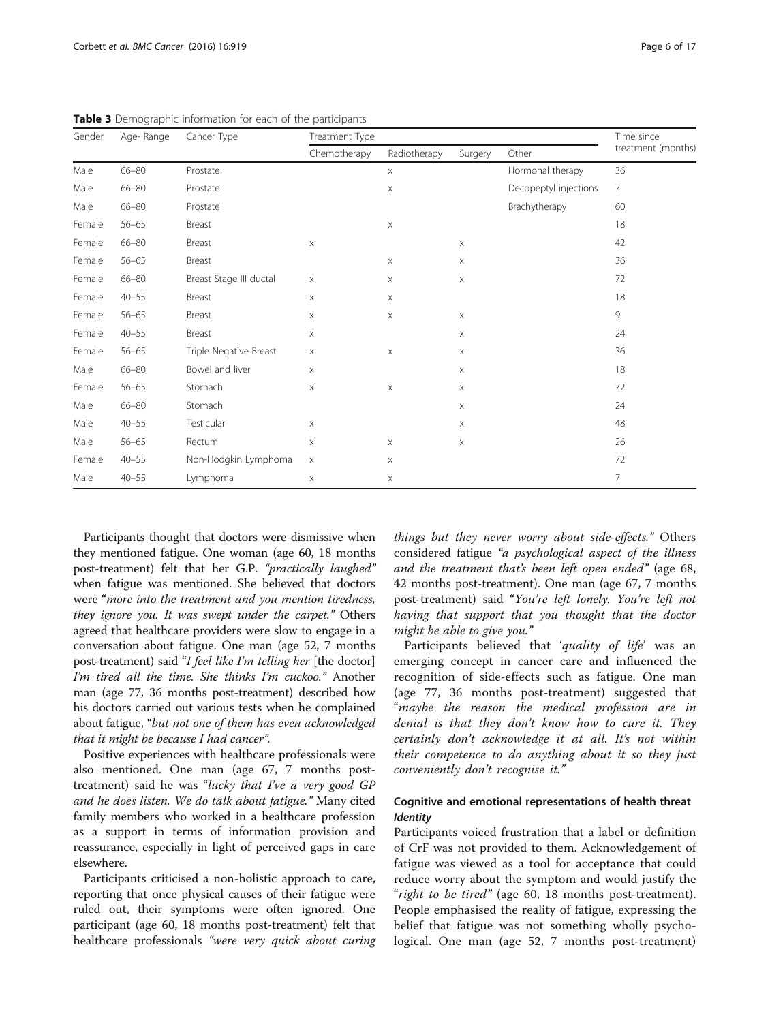| Gender | Age-Range | Cancer Type             | Treatment Type |              |                       |                       | Time since         |
|--------|-----------|-------------------------|----------------|--------------|-----------------------|-----------------------|--------------------|
|        |           |                         | Chemotherapy   | Radiotherapy | Surgery               | Other                 | treatment (months) |
| Male   | $66 - 80$ | Prostate                |                | $\mathsf X$  |                       | Hormonal therapy      | 36                 |
| Male   | $66 - 80$ | Prostate                |                | $\mathsf X$  |                       | Decopeptyl injections | $\overline{7}$     |
| Male   | $66 - 80$ | Prostate                |                |              |                       | Brachytherapy         | 60                 |
| Female | $56 - 65$ | Breast                  |                | X            |                       |                       | 18                 |
| Female | $66 - 80$ | Breast                  | $\mathsf X$    |              | $\boldsymbol{\times}$ |                       | 42                 |
| Female | $56 - 65$ | Breast                  |                | X            | $\mathsf X$           |                       | 36                 |
| Female | $66 - 80$ | Breast Stage III ductal | X              | $\mathsf X$  | $\mathsf X$           |                       | 72                 |
| Female | $40 - 55$ | Breast                  | X              | $\mathsf X$  |                       |                       | 18                 |
| Female | $56 - 65$ | <b>Breast</b>           | X              | $\mathsf X$  | Χ                     |                       | 9                  |
| Female | $40 - 55$ | Breast                  | X              |              | $\mathsf X$           |                       | 24                 |
| Female | $56 - 65$ | Triple Negative Breast  | $\mathsf X$    | X            | Χ                     |                       | 36                 |
| Male   | $66 - 80$ | Bowel and liver         | X              |              | $\mathsf X$           |                       | 18                 |
| Female | $56 - 65$ | Stomach                 | X              | X            | X                     |                       | 72                 |
| Male   | $66 - 80$ | Stomach                 |                |              | $\mathsf X$           |                       | 24                 |
| Male   | $40 - 55$ | Testicular              | X              |              | $\mathsf X$           |                       | 48                 |
| Male   | $56 - 65$ | Rectum                  | X              | $\mathsf X$  | $\boldsymbol{\times}$ |                       | 26                 |
| Female | $40 - 55$ | Non-Hodgkin Lymphoma    | $\mathsf X$    | $\times$     |                       |                       | 72                 |
| Male   | $40 - 55$ | Lymphoma                | X              | $\times$     |                       |                       | $\overline{7}$     |

<span id="page-5-0"></span>Table 3 Demographic information for each of the participants

Participants thought that doctors were dismissive when they mentioned fatigue. One woman (age 60, 18 months post-treatment) felt that her G.P. "practically laughed" when fatigue was mentioned. She believed that doctors were "more into the treatment and you mention tiredness, they ignore you. It was swept under the carpet." Others agreed that healthcare providers were slow to engage in a conversation about fatigue. One man (age 52, 7 months post-treatment) said "I feel like I'm telling her [the doctor] I'm tired all the time. She thinks I'm cuckoo." Another man (age 77, 36 months post-treatment) described how his doctors carried out various tests when he complained about fatigue, "but not one of them has even acknowledged that it might be because I had cancer".

Positive experiences with healthcare professionals were also mentioned. One man (age 67, 7 months posttreatment) said he was "lucky that I've a very good GP and he does listen. We do talk about fatigue." Many cited family members who worked in a healthcare profession as a support in terms of information provision and reassurance, especially in light of perceived gaps in care elsewhere.

Participants criticised a non-holistic approach to care, reporting that once physical causes of their fatigue were ruled out, their symptoms were often ignored. One participant (age 60, 18 months post-treatment) felt that healthcare professionals "were very quick about curing

things but they never worry about side-effects." Others considered fatigue "a psychological aspect of the illness and the treatment that's been left open ended" (age 68, 42 months post-treatment). One man (age 67, 7 months post-treatment) said "You're left lonely. You're left not having that support that you thought that the doctor might be able to give you."

Participants believed that 'quality of life' was an emerging concept in cancer care and influenced the recognition of side-effects such as fatigue. One man (age 77, 36 months post-treatment) suggested that "maybe the reason the medical profession are in denial is that they don't know how to cure it. They certainly don't acknowledge it at all. It's not within their competence to do anything about it so they just conveniently don't recognise it."

#### Cognitive and emotional representations of health threat **Identity**

Participants voiced frustration that a label or definition of CrF was not provided to them. Acknowledgement of fatigue was viewed as a tool for acceptance that could reduce worry about the symptom and would justify the "right to be tired" (age 60, 18 months post-treatment). People emphasised the reality of fatigue, expressing the belief that fatigue was not something wholly psychological. One man (age 52, 7 months post-treatment)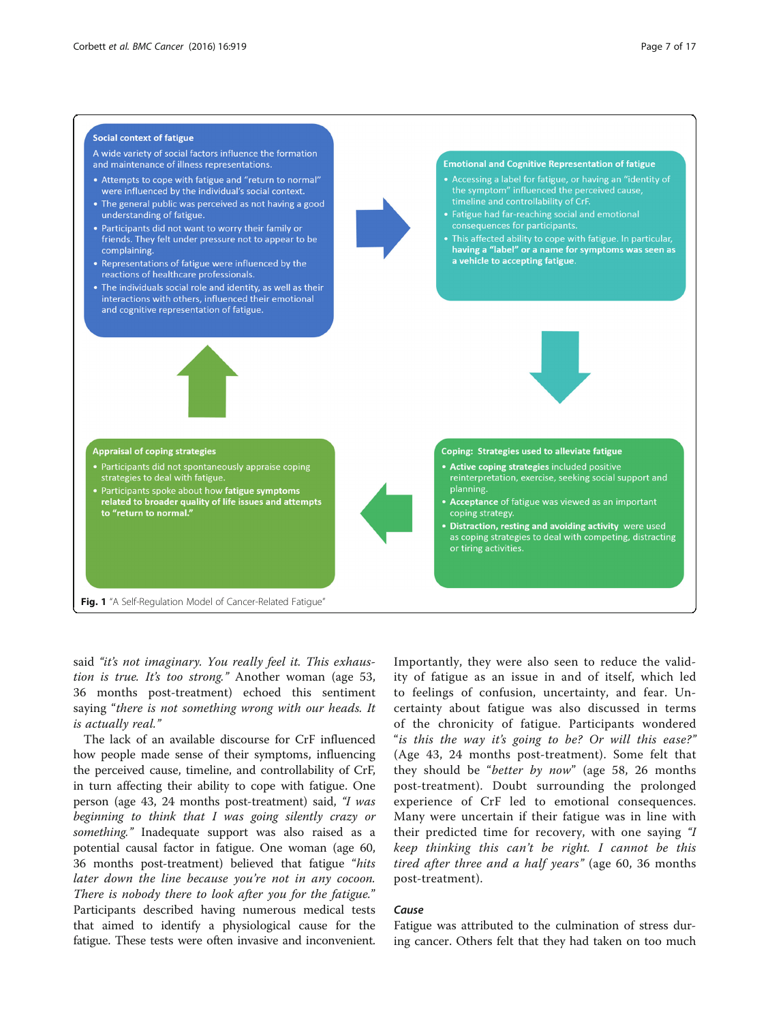<span id="page-6-0"></span>

said "it's not imaginary. You really feel it. This exhaustion is true. It's too strong." Another woman (age 53, 36 months post-treatment) echoed this sentiment saying "there is not something wrong with our heads. It is actually real."

The lack of an available discourse for CrF influenced how people made sense of their symptoms, influencing the perceived cause, timeline, and controllability of CrF, in turn affecting their ability to cope with fatigue. One person (age 43, 24 months post-treatment) said, "I was beginning to think that I was going silently crazy or something." Inadequate support was also raised as a potential causal factor in fatigue. One woman (age 60, 36 months post-treatment) believed that fatigue "hits later down the line because you're not in any cocoon. There is nobody there to look after you for the fatigue." Participants described having numerous medical tests that aimed to identify a physiological cause for the fatigue. These tests were often invasive and inconvenient.

Importantly, they were also seen to reduce the validity of fatigue as an issue in and of itself, which led to feelings of confusion, uncertainty, and fear. Uncertainty about fatigue was also discussed in terms of the chronicity of fatigue. Participants wondered "is this the way it's going to be? Or will this ease?" (Age 43, 24 months post-treatment). Some felt that they should be "better by now" (age 58, 26 months post-treatment). Doubt surrounding the prolonged experience of CrF led to emotional consequences. Many were uncertain if their fatigue was in line with their predicted time for recovery, with one saying "I keep thinking this can't be right. I cannot be this tired after three and a half years" (age 60, 36 months post-treatment).

# Cause

Fatigue was attributed to the culmination of stress during cancer. Others felt that they had taken on too much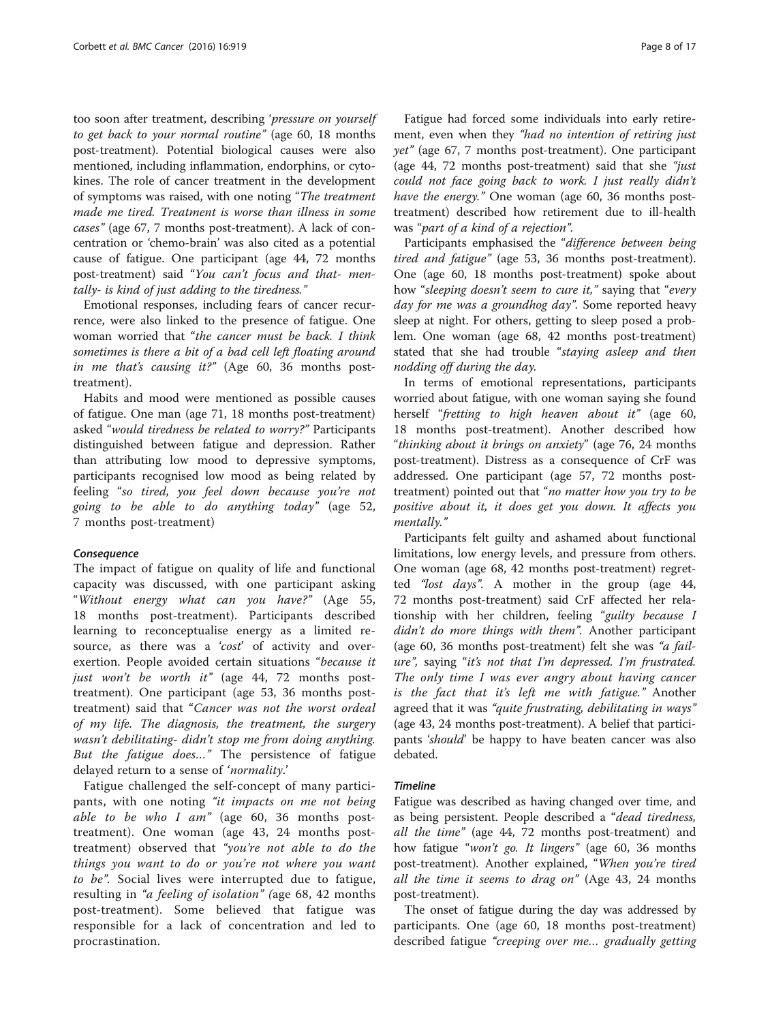too soon after treatment, describing 'pressure on yourself to get back to your normal routine" (age 60, 18 months post-treatment). Potential biological causes were also mentioned, including inflammation, endorphins, or cytokines. The role of cancer treatment in the development of symptoms was raised, with one noting "The treatment made me tired. Treatment is worse than illness in some cases" (age 67, 7 months post-treatment). A lack of concentration or 'chemo-brain' was also cited as a potential cause of fatigue. One participant (age 44, 72 months post-treatment) said "You can't focus and that- mentally- is kind of just adding to the tiredness."

Emotional responses, including fears of cancer recurrence, were also linked to the presence of fatigue. One woman worried that "the cancer must be back. I think sometimes is there a bit of a bad cell left floating around in me that's causing it?" (Age 60, 36 months posttreatment).

Habits and mood were mentioned as possible causes of fatigue. One man (age 71, 18 months post-treatment) asked "would tiredness be related to worry?" Participants distinguished between fatigue and depression. Rather than attributing low mood to depressive symptoms, participants recognised low mood as being related by feeling "so tired, you feel down because you're not going to be able to do anything today" (age 52, 7 months post-treatment)

#### **Consequence**

The impact of fatigue on quality of life and functional capacity was discussed, with one participant asking "Without energy what can you have?" (Age 55, 18 months post-treatment). Participants described learning to reconceptualise energy as a limited resource, as there was a 'cost' of activity and overexertion. People avoided certain situations "because it just won't be worth it" (age  $44$ , 72 months posttreatment). One participant (age 53, 36 months posttreatment) said that "Cancer was not the worst ordeal of my life. The diagnosis, the treatment, the surgery wasn't debilitating- didn't stop me from doing anything. But the fatigue does…" The persistence of fatigue delayed return to a sense of 'normality.'

Fatigue challenged the self-concept of many participants, with one noting "it impacts on me not being able to be who I am" (age  $60$ ,  $36$  months posttreatment). One woman (age 43, 24 months posttreatment) observed that "you're not able to do the things you want to do or you're not where you want to be". Social lives were interrupted due to fatigue, resulting in "a feeling of isolation" (age 68, 42 months post-treatment). Some believed that fatigue was responsible for a lack of concentration and led to procrastination.

Fatigue had forced some individuals into early retirement, even when they "had no intention of retiring just yet" (age 67, 7 months post-treatment). One participant (age 44, 72 months post-treatment) said that she "*just* could not face going back to work. I just really didn't have the energy." One woman (age 60, 36 months posttreatment) described how retirement due to ill-health was "part of a kind of a rejection".

Participants emphasised the "difference between being tired and fatigue" (age 53, 36 months post-treatment). One (age 60, 18 months post-treatment) spoke about how "sleeping doesn't seem to cure it," saying that "every day for me was a groundhog day". Some reported heavy sleep at night. For others, getting to sleep posed a problem. One woman (age 68, 42 months post-treatment) stated that she had trouble "staying asleep and then nodding off during the day.

In terms of emotional representations, participants worried about fatigue, with one woman saying she found herself "fretting to high heaven about it" (age 60, 18 months post-treatment). Another described how "thinking about it brings on anxiety" (age 76, 24 months post-treatment). Distress as a consequence of CrF was addressed. One participant (age 57, 72 months posttreatment) pointed out that "no matter how you try to be positive about it, it does get you down. It affects you mentally."

Participants felt guilty and ashamed about functional limitations, low energy levels, and pressure from others. One woman (age 68, 42 months post-treatment) regretted "lost days". A mother in the group (age 44, 72 months post-treatment) said CrF affected her relationship with her children, feeling "guilty because I didn't do more things with them". Another participant (age 60, 36 months post-treatment) felt she was "a failure", saying "it's not that I'm depressed. I'm frustrated. The only time I was ever angry about having cancer is the fact that it's left me with fatigue." Another agreed that it was "quite frustrating, debilitating in ways" (age 43, 24 months post-treatment). A belief that participants 'should' be happy to have beaten cancer was also debated.

#### Timeline

Fatigue was described as having changed over time, and as being persistent. People described a "dead tiredness, all the time" (age 44, 72 months post-treatment) and how fatigue "won't go. It lingers" (age 60, 36 months post-treatment). Another explained, "When you're tired all the time it seems to drag on" (Age 43, 24 months post-treatment).

The onset of fatigue during the day was addressed by participants. One (age 60, 18 months post-treatment) described fatigue "creeping over me… gradually getting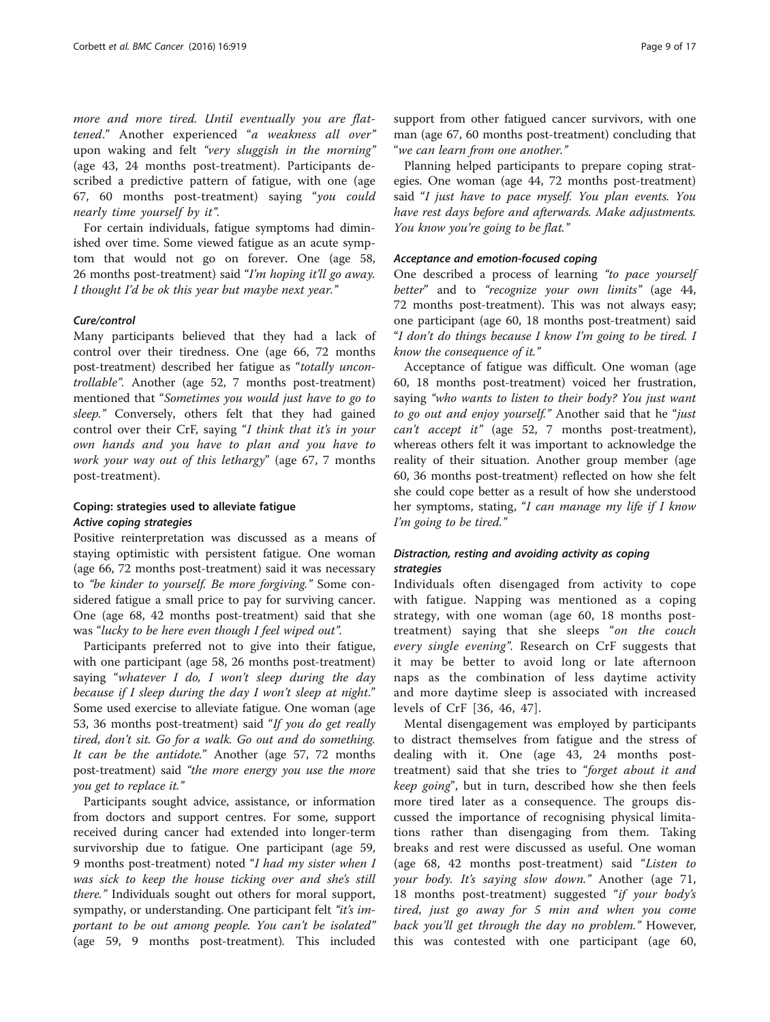more and more tired. Until eventually you are flattened." Another experienced "a weakness all over" upon waking and felt "very sluggish in the morning" (age 43, 24 months post-treatment). Participants described a predictive pattern of fatigue, with one (age 67, 60 months post-treatment) saying "you could nearly time yourself by it".

For certain individuals, fatigue symptoms had diminished over time. Some viewed fatigue as an acute symptom that would not go on forever. One (age 58, 26 months post-treatment) said "I'm hoping it'll go away. I thought I'd be ok this year but maybe next year."

#### Cure/control

Many participants believed that they had a lack of control over their tiredness. One (age 66, 72 months post-treatment) described her fatigue as "totally uncontrollable". Another (age 52, 7 months post-treatment) mentioned that "Sometimes you would just have to go to sleep." Conversely, others felt that they had gained control over their CrF, saying "I think that it's in your own hands and you have to plan and you have to work your way out of this lethargy" (age 67, 7 months post-treatment).

#### Coping: strategies used to alleviate fatigue Active coping strategies

Positive reinterpretation was discussed as a means of staying optimistic with persistent fatigue. One woman (age 66, 72 months post-treatment) said it was necessary to "be kinder to yourself. Be more forgiving." Some considered fatigue a small price to pay for surviving cancer. One (age 68, 42 months post-treatment) said that she was "lucky to be here even though I feel wiped out".

Participants preferred not to give into their fatigue, with one participant (age 58, 26 months post-treatment) saying "whatever I do, I won't sleep during the day because if I sleep during the day I won't sleep at night." Some used exercise to alleviate fatigue. One woman (age 53, 36 months post-treatment) said "If you do get really tired, don't sit. Go for a walk. Go out and do something. It can be the antidote." Another (age 57, 72 months post-treatment) said "the more energy you use the more you get to replace it."

Participants sought advice, assistance, or information from doctors and support centres. For some, support received during cancer had extended into longer-term survivorship due to fatigue. One participant (age 59, 9 months post-treatment) noted "I had my sister when I was sick to keep the house ticking over and she's still there." Individuals sought out others for moral support, sympathy, or understanding. One participant felt "it's important to be out among people. You can't be isolated" (age 59, 9 months post-treatment). This included support from other fatigued cancer survivors, with one man (age 67, 60 months post-treatment) concluding that "we can learn from one another."

Planning helped participants to prepare coping strategies. One woman (age 44, 72 months post-treatment) said "I just have to pace myself. You plan events. You have rest days before and afterwards. Make adjustments. You know you're going to be flat."

#### Acceptance and emotion-focused coping

One described a process of learning "to pace yourself better" and to "recognize your own limits" (age 44, 72 months post-treatment). This was not always easy; one participant (age 60, 18 months post-treatment) said "I don't do things because I know I'm going to be tired. I know the consequence of it."

Acceptance of fatigue was difficult. One woman (age 60, 18 months post-treatment) voiced her frustration, saying "who wants to listen to their body? You just want to go out and enjoy yourself." Another said that he "just can't accept it" (age 52, 7 months post-treatment), whereas others felt it was important to acknowledge the reality of their situation. Another group member (age 60, 36 months post-treatment) reflected on how she felt she could cope better as a result of how she understood her symptoms, stating, "I can manage my life if I know I'm going to be tired."

#### Distraction, resting and avoiding activity as coping strategies

Individuals often disengaged from activity to cope with fatigue. Napping was mentioned as a coping strategy, with one woman (age 60, 18 months posttreatment) saying that she sleeps "on the couch every single evening". Research on CrF suggests that it may be better to avoid long or late afternoon naps as the combination of less daytime activity and more daytime sleep is associated with increased levels of CrF [[36](#page-15-0), [46](#page-15-0), [47](#page-15-0)].

Mental disengagement was employed by participants to distract themselves from fatigue and the stress of dealing with it. One (age 43, 24 months posttreatment) said that she tries to "forget about it and keep going", but in turn, described how she then feels more tired later as a consequence. The groups discussed the importance of recognising physical limitations rather than disengaging from them. Taking breaks and rest were discussed as useful. One woman (age 68, 42 months post-treatment) said "Listen to your body. It's saying slow down." Another (age 71, 18 months post-treatment) suggested "if your body's tired, just go away for 5 min and when you come back you'll get through the day no problem." However, this was contested with one participant (age 60,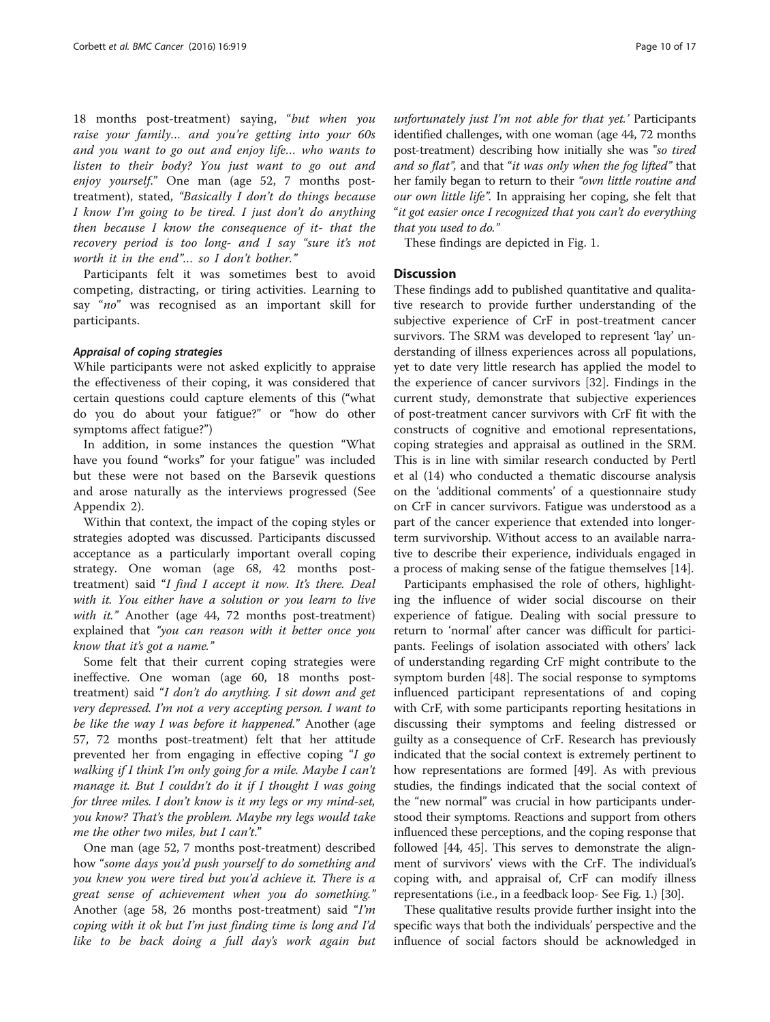18 months post-treatment) saying, "but when you raise your family… and you're getting into your 60s and you want to go out and enjoy life… who wants to listen to their body? You just want to go out and enjoy yourself." One man (age 52, 7 months posttreatment), stated, "Basically I don't do things because I know I'm going to be tired. I just don't do anything then because I know the consequence of it- that the recovery period is too long- and I say "sure it's not worth it in the end"... so I don't bother."

Participants felt it was sometimes best to avoid competing, distracting, or tiring activities. Learning to say "no" was recognised as an important skill for participants.

#### Appraisal of coping strategies

While participants were not asked explicitly to appraise the effectiveness of their coping, it was considered that certain questions could capture elements of this ("what do you do about your fatigue?" or "how do other symptoms affect fatigue?")

In addition, in some instances the question "What have you found "works" for your fatigue" was included but these were not based on the Barsevik questions and arose naturally as the interviews progressed (See [Appendix 2](#page-13-0)).

Within that context, the impact of the coping styles or strategies adopted was discussed. Participants discussed acceptance as a particularly important overall coping strategy. One woman (age 68, 42 months posttreatment) said "I find I accept it now. It's there. Deal with it. You either have a solution or you learn to live with it." Another (age 44, 72 months post-treatment) explained that "you can reason with it better once you know that it's got a name."

Some felt that their current coping strategies were ineffective. One woman (age 60, 18 months posttreatment) said "I don't do anything. I sit down and get very depressed. I'm not a very accepting person. I want to be like the way I was before it happened." Another (age 57, 72 months post-treatment) felt that her attitude prevented her from engaging in effective coping "I go walking if I think I'm only going for a mile. Maybe I can't manage it. But I couldn't do it if I thought I was going for three miles. I don't know is it my legs or my mind-set, you know? That's the problem. Maybe my legs would take me the other two miles, but I can't."

One man (age 52, 7 months post-treatment) described how "some days you'd push yourself to do something and you knew you were tired but you'd achieve it. There is a great sense of achievement when you do something." Another (age 58, 26 months post-treatment) said "I'm coping with it ok but I'm just finding time is long and I'd like to be back doing a full day's work again but unfortunately just I'm not able for that yet.' Participants identified challenges, with one woman (age 44, 72 months post-treatment) describing how initially she was "so tired and so flat", and that "it was only when the fog lifted" that her family began to return to their "own little routine and our own little life". In appraising her coping, she felt that "it got easier once I recognized that you can't do everything that you used to do."

These findings are depicted in Fig. [1.](#page-6-0)

#### **Discussion**

These findings add to published quantitative and qualitative research to provide further understanding of the subjective experience of CrF in post-treatment cancer survivors. The SRM was developed to represent 'lay' understanding of illness experiences across all populations, yet to date very little research has applied the model to the experience of cancer survivors [\[32\]](#page-15-0). Findings in the current study, demonstrate that subjective experiences of post-treatment cancer survivors with CrF fit with the constructs of cognitive and emotional representations, coping strategies and appraisal as outlined in the SRM. This is in line with similar research conducted by Pertl et al (14) who conducted a thematic discourse analysis on the 'additional comments' of a questionnaire study on CrF in cancer survivors. Fatigue was understood as a part of the cancer experience that extended into longerterm survivorship. Without access to an available narrative to describe their experience, individuals engaged in a process of making sense of the fatigue themselves [[14\]](#page-15-0).

Participants emphasised the role of others, highlighting the influence of wider social discourse on their experience of fatigue. Dealing with social pressure to return to 'normal' after cancer was difficult for participants. Feelings of isolation associated with others' lack of understanding regarding CrF might contribute to the symptom burden [[48\]](#page-15-0). The social response to symptoms influenced participant representations of and coping with CrF, with some participants reporting hesitations in discussing their symptoms and feeling distressed or guilty as a consequence of CrF. Research has previously indicated that the social context is extremely pertinent to how representations are formed [[49](#page-15-0)]. As with previous studies, the findings indicated that the social context of the "new normal" was crucial in how participants understood their symptoms. Reactions and support from others influenced these perceptions, and the coping response that followed [\[44, 45\]](#page-15-0). This serves to demonstrate the alignment of survivors' views with the CrF. The individual's coping with, and appraisal of, CrF can modify illness representations (i.e., in a feedback loop- See Fig. [1.](#page-6-0)) [\[30](#page-15-0)].

These qualitative results provide further insight into the specific ways that both the individuals' perspective and the influence of social factors should be acknowledged in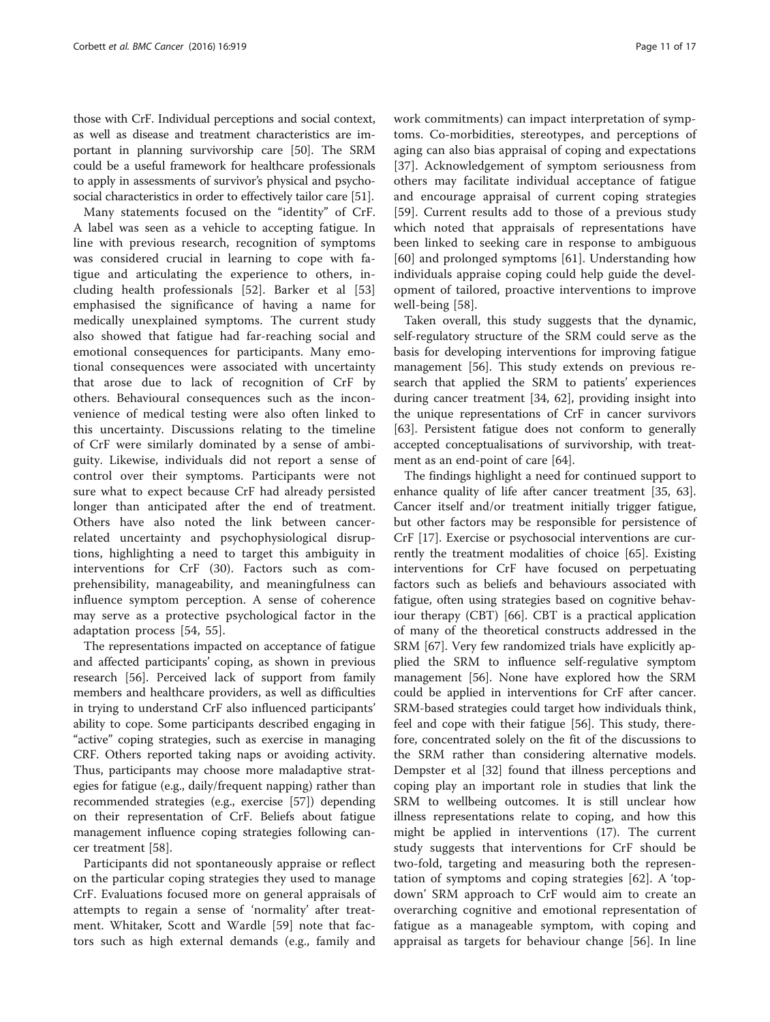those with CrF. Individual perceptions and social context, as well as disease and treatment characteristics are important in planning survivorship care [[50](#page-15-0)]. The SRM could be a useful framework for healthcare professionals to apply in assessments of survivor's physical and psychosocial characteristics in order to effectively tailor care [[51](#page-15-0)].

Many statements focused on the "identity" of CrF. A label was seen as a vehicle to accepting fatigue. In line with previous research, recognition of symptoms was considered crucial in learning to cope with fatigue and articulating the experience to others, including health professionals [[52\]](#page-15-0). Barker et al [\[53](#page-15-0)] emphasised the significance of having a name for medically unexplained symptoms. The current study also showed that fatigue had far-reaching social and emotional consequences for participants. Many emotional consequences were associated with uncertainty that arose due to lack of recognition of CrF by others. Behavioural consequences such as the inconvenience of medical testing were also often linked to this uncertainty. Discussions relating to the timeline of CrF were similarly dominated by a sense of ambiguity. Likewise, individuals did not report a sense of control over their symptoms. Participants were not sure what to expect because CrF had already persisted longer than anticipated after the end of treatment. Others have also noted the link between cancerrelated uncertainty and psychophysiological disruptions, highlighting a need to target this ambiguity in interventions for CrF (30). Factors such as comprehensibility, manageability, and meaningfulness can influence symptom perception. A sense of coherence may serve as a protective psychological factor in the adaptation process [[54, 55\]](#page-15-0).

The representations impacted on acceptance of fatigue and affected participants' coping, as shown in previous research [[56\]](#page-16-0). Perceived lack of support from family members and healthcare providers, as well as difficulties in trying to understand CrF also influenced participants' ability to cope. Some participants described engaging in "active" coping strategies, such as exercise in managing CRF. Others reported taking naps or avoiding activity. Thus, participants may choose more maladaptive strategies for fatigue (e.g., daily/frequent napping) rather than recommended strategies (e.g., exercise [\[57\]](#page-16-0)) depending on their representation of CrF. Beliefs about fatigue management influence coping strategies following cancer treatment [\[58\]](#page-16-0).

Participants did not spontaneously appraise or reflect on the particular coping strategies they used to manage CrF. Evaluations focused more on general appraisals of attempts to regain a sense of 'normality' after treatment. Whitaker, Scott and Wardle [[59\]](#page-16-0) note that factors such as high external demands (e.g., family and work commitments) can impact interpretation of symptoms. Co-morbidities, stereotypes, and perceptions of aging can also bias appraisal of coping and expectations [[37\]](#page-15-0). Acknowledgement of symptom seriousness from others may facilitate individual acceptance of fatigue and encourage appraisal of current coping strategies [[59](#page-16-0)]. Current results add to those of a previous study which noted that appraisals of representations have been linked to seeking care in response to ambiguous [[60\]](#page-16-0) and prolonged symptoms [\[61](#page-16-0)]. Understanding how individuals appraise coping could help guide the development of tailored, proactive interventions to improve well-being [[58\]](#page-16-0).

Taken overall, this study suggests that the dynamic, self-regulatory structure of the SRM could serve as the basis for developing interventions for improving fatigue management [[56](#page-16-0)]. This study extends on previous research that applied the SRM to patients' experiences during cancer treatment [\[34,](#page-15-0) [62\]](#page-16-0), providing insight into the unique representations of CrF in cancer survivors [[63\]](#page-16-0). Persistent fatigue does not conform to generally accepted conceptualisations of survivorship, with treatment as an end-point of care [[64\]](#page-16-0).

The findings highlight a need for continued support to enhance quality of life after cancer treatment [[35,](#page-15-0) [63](#page-16-0)]. Cancer itself and/or treatment initially trigger fatigue, but other factors may be responsible for persistence of CrF [[17\]](#page-15-0). Exercise or psychosocial interventions are currently the treatment modalities of choice [[65](#page-16-0)]. Existing interventions for CrF have focused on perpetuating factors such as beliefs and behaviours associated with fatigue, often using strategies based on cognitive behaviour therapy (CBT) [\[66\]](#page-16-0). CBT is a practical application of many of the theoretical constructs addressed in the SRM [\[67](#page-16-0)]. Very few randomized trials have explicitly applied the SRM to influence self-regulative symptom management [[56\]](#page-16-0). None have explored how the SRM could be applied in interventions for CrF after cancer. SRM-based strategies could target how individuals think, feel and cope with their fatigue [[56\]](#page-16-0). This study, therefore, concentrated solely on the fit of the discussions to the SRM rather than considering alternative models. Dempster et al [[32\]](#page-15-0) found that illness perceptions and coping play an important role in studies that link the SRM to wellbeing outcomes. It is still unclear how illness representations relate to coping, and how this might be applied in interventions (17). The current study suggests that interventions for CrF should be two-fold, targeting and measuring both the representation of symptoms and coping strategies [\[62](#page-16-0)]. A 'topdown' SRM approach to CrF would aim to create an overarching cognitive and emotional representation of fatigue as a manageable symptom, with coping and appraisal as targets for behaviour change [\[56](#page-16-0)]. In line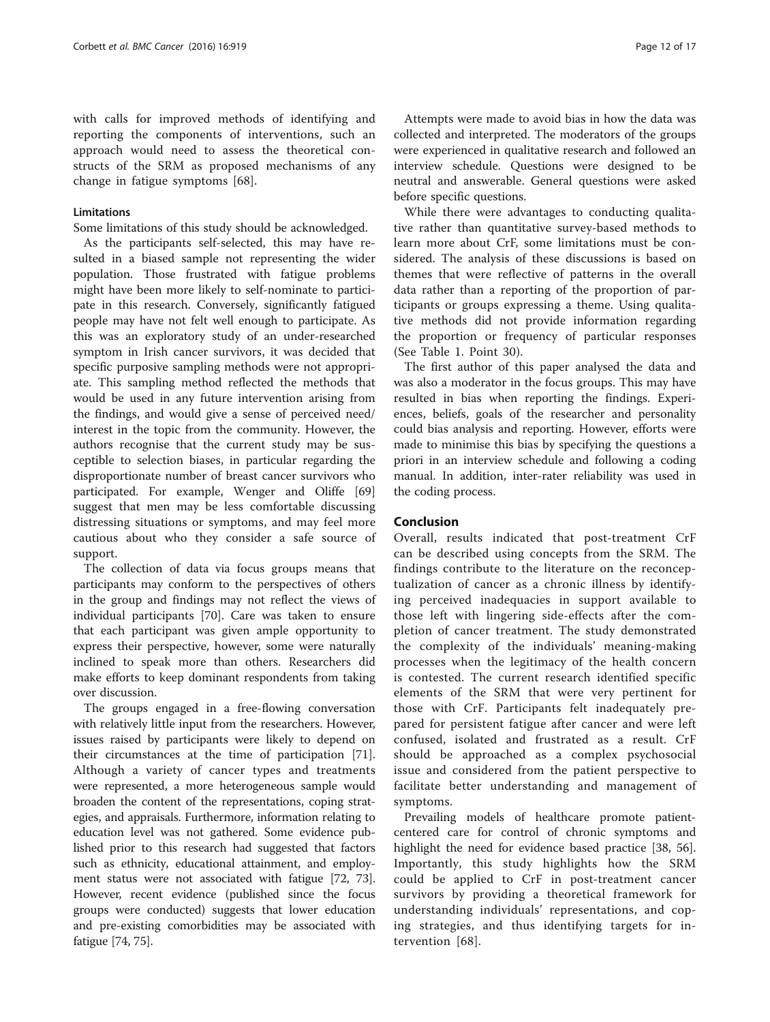with calls for improved methods of identifying and reporting the components of interventions, such an approach would need to assess the theoretical constructs of the SRM as proposed mechanisms of any change in fatigue symptoms [[68\]](#page-16-0).

### Limitations

Some limitations of this study should be acknowledged.

As the participants self-selected, this may have resulted in a biased sample not representing the wider population. Those frustrated with fatigue problems might have been more likely to self-nominate to participate in this research. Conversely, significantly fatigued people may have not felt well enough to participate. As this was an exploratory study of an under-researched symptom in Irish cancer survivors, it was decided that specific purposive sampling methods were not appropriate. This sampling method reflected the methods that would be used in any future intervention arising from the findings, and would give a sense of perceived need/ interest in the topic from the community. However, the authors recognise that the current study may be susceptible to selection biases, in particular regarding the disproportionate number of breast cancer survivors who participated. For example, Wenger and Oliffe [[69](#page-16-0)] suggest that men may be less comfortable discussing distressing situations or symptoms, and may feel more cautious about who they consider a safe source of support.

The collection of data via focus groups means that participants may conform to the perspectives of others in the group and findings may not reflect the views of individual participants [\[70](#page-16-0)]. Care was taken to ensure that each participant was given ample opportunity to express their perspective, however, some were naturally inclined to speak more than others. Researchers did make efforts to keep dominant respondents from taking over discussion.

The groups engaged in a free-flowing conversation with relatively little input from the researchers. However, issues raised by participants were likely to depend on their circumstances at the time of participation [\[71](#page-16-0)]. Although a variety of cancer types and treatments were represented, a more heterogeneous sample would broaden the content of the representations, coping strategies, and appraisals. Furthermore, information relating to education level was not gathered. Some evidence published prior to this research had suggested that factors such as ethnicity, educational attainment, and employment status were not associated with fatigue [[72](#page-16-0), [73](#page-16-0)]. However, recent evidence (published since the focus groups were conducted) suggests that lower education and pre-existing comorbidities may be associated with fatigue [\[74, 75](#page-16-0)].

Attempts were made to avoid bias in how the data was collected and interpreted. The moderators of the groups were experienced in qualitative research and followed an interview schedule. Questions were designed to be neutral and answerable. General questions were asked before specific questions.

While there were advantages to conducting qualitative rather than quantitative survey-based methods to learn more about CrF, some limitations must be considered. The analysis of these discussions is based on themes that were reflective of patterns in the overall data rather than a reporting of the proportion of participants or groups expressing a theme. Using qualitative methods did not provide information regarding the proportion or frequency of particular responses (See Table [1.](#page-3-0) Point 30).

The first author of this paper analysed the data and was also a moderator in the focus groups. This may have resulted in bias when reporting the findings. Experiences, beliefs, goals of the researcher and personality could bias analysis and reporting. However, efforts were made to minimise this bias by specifying the questions a priori in an interview schedule and following a coding manual. In addition, inter-rater reliability was used in the coding process.

#### Conclusion

Overall, results indicated that post-treatment CrF can be described using concepts from the SRM. The findings contribute to the literature on the reconceptualization of cancer as a chronic illness by identifying perceived inadequacies in support available to those left with lingering side-effects after the completion of cancer treatment. The study demonstrated the complexity of the individuals' meaning-making processes when the legitimacy of the health concern is contested. The current research identified specific elements of the SRM that were very pertinent for those with CrF. Participants felt inadequately prepared for persistent fatigue after cancer and were left confused, isolated and frustrated as a result. CrF should be approached as a complex psychosocial issue and considered from the patient perspective to facilitate better understanding and management of symptoms.

Prevailing models of healthcare promote patientcentered care for control of chronic symptoms and highlight the need for evidence based practice [\[38](#page-15-0), [56](#page-16-0)]. Importantly, this study highlights how the SRM could be applied to CrF in post-treatment cancer survivors by providing a theoretical framework for understanding individuals' representations, and coping strategies, and thus identifying targets for intervention [[68\]](#page-16-0).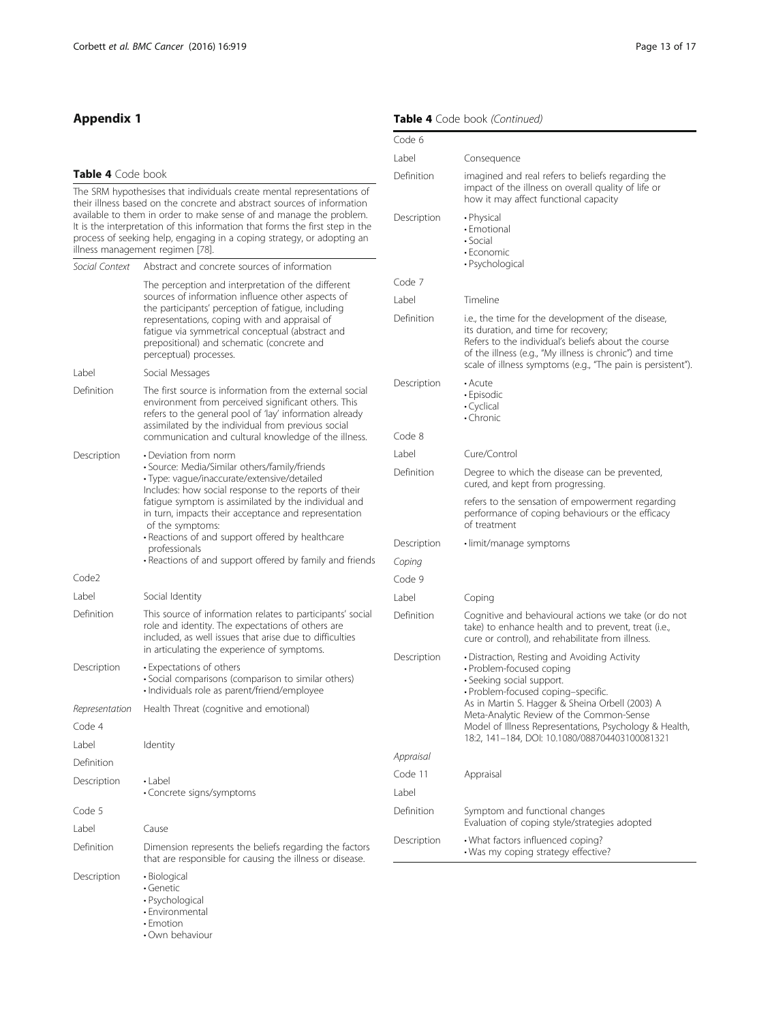### <span id="page-12-0"></span>Appendix 1

#### Table 4 Code book

The SRM hypothesises that individuals create mental representations of their illness based on the concrete and abstract sources of information available to them in order to make sense of and manage the problem. It is the interpretation of this information that forms the first step in the process of seeking help, engaging in a coping strategy, or adopting an illness management regimen [\[78](#page-16-0)].

| Social Context | Abstract and concrete sources of information                                                                                                                                                                                                                                                                                                                                                                                                        |  |  |  |
|----------------|-----------------------------------------------------------------------------------------------------------------------------------------------------------------------------------------------------------------------------------------------------------------------------------------------------------------------------------------------------------------------------------------------------------------------------------------------------|--|--|--|
|                | The perception and interpretation of the different<br>sources of information influence other aspects of<br>the participants' perception of fatigue, including<br>representations, coping with and appraisal of<br>fatique via symmetrical conceptual (abstract and<br>prepositional) and schematic (concrete and<br>perceptual) processes.                                                                                                          |  |  |  |
| Label          | Social Messages                                                                                                                                                                                                                                                                                                                                                                                                                                     |  |  |  |
| Definition     | The first source is information from the external social<br>environment from perceived significant others. This<br>refers to the general pool of 'lay' information already<br>assimilated by the individual from previous social<br>communication and cultural knowledge of the illness.                                                                                                                                                            |  |  |  |
| Description    | • Deviation from norm<br>· Source: Media/Similar others/family/friends<br>· Type: vague/inaccurate/extensive/detailed<br>Includes: how social response to the reports of their<br>fatigue symptom is assimilated by the individual and<br>in turn, impacts their acceptance and representation<br>of the symptoms:<br>· Reactions of and support offered by healthcare<br>professionals<br>• Reactions of and support offered by family and friends |  |  |  |
| Code2          |                                                                                                                                                                                                                                                                                                                                                                                                                                                     |  |  |  |
| Label          | Social Identity                                                                                                                                                                                                                                                                                                                                                                                                                                     |  |  |  |
| Definition     | This source of information relates to participants' social<br>role and identity. The expectations of others are<br>included, as well issues that arise due to difficulties<br>in articulating the experience of symptoms.                                                                                                                                                                                                                           |  |  |  |
| Description    | • Expectations of others<br>· Social comparisons (comparison to similar others)<br>· Individuals role as parent/friend/employee                                                                                                                                                                                                                                                                                                                     |  |  |  |
| Representation | Health Threat (cognitive and emotional)                                                                                                                                                                                                                                                                                                                                                                                                             |  |  |  |
| Code 4         |                                                                                                                                                                                                                                                                                                                                                                                                                                                     |  |  |  |
| Label          | Identity                                                                                                                                                                                                                                                                                                                                                                                                                                            |  |  |  |
| Definition     |                                                                                                                                                                                                                                                                                                                                                                                                                                                     |  |  |  |
| Description    | · Label<br>• Concrete signs/symptoms                                                                                                                                                                                                                                                                                                                                                                                                                |  |  |  |
| Code 5         |                                                                                                                                                                                                                                                                                                                                                                                                                                                     |  |  |  |
| Label          | Cause                                                                                                                                                                                                                                                                                                                                                                                                                                               |  |  |  |
| Definition     | Dimension represents the beliefs regarding the factors<br>that are responsible for causing the illness or disease.                                                                                                                                                                                                                                                                                                                                  |  |  |  |
| Description    | · Biological                                                                                                                                                                                                                                                                                                                                                                                                                                        |  |  |  |

• Genetic • Psychological • Environmental • Emotion • Own behaviour

### Table 4 Code book (Continued)

| Code 6      |                                                                                                                                                                                                                                                                                                                                                        |
|-------------|--------------------------------------------------------------------------------------------------------------------------------------------------------------------------------------------------------------------------------------------------------------------------------------------------------------------------------------------------------|
| I abel      | Consequence                                                                                                                                                                                                                                                                                                                                            |
| Definition  | imagined and real refers to beliefs regarding the<br>impact of the illness on overall quality of life or<br>how it may affect functional capacity                                                                                                                                                                                                      |
| Description | • Physical<br>• Emotional<br>• Social<br>$\cdot$ Economic<br>· Psychological                                                                                                                                                                                                                                                                           |
| Code 7      |                                                                                                                                                                                                                                                                                                                                                        |
| Label       | Timeline                                                                                                                                                                                                                                                                                                                                               |
| Definition  | i.e., the time for the development of the disease,<br>its duration, and time for recovery;<br>Refers to the individual's beliefs about the course<br>of the illness (e.g., "My illness is chronic") and time<br>scale of illness symptoms (e.g., "The pain is persistent").                                                                            |
| Description | • Acute<br>• Episodic<br>• Cyclical<br>• Chronic                                                                                                                                                                                                                                                                                                       |
| Code 8      |                                                                                                                                                                                                                                                                                                                                                        |
| Label       | Cure/Control                                                                                                                                                                                                                                                                                                                                           |
| Definition  | Degree to which the disease can be prevented,<br>cured, and kept from progressing.                                                                                                                                                                                                                                                                     |
|             | refers to the sensation of empowerment regarding<br>performance of coping behaviours or the efficacy<br>of treatment                                                                                                                                                                                                                                   |
| Description | ·limit/manage symptoms                                                                                                                                                                                                                                                                                                                                 |
| Coping      |                                                                                                                                                                                                                                                                                                                                                        |
| Code 9      |                                                                                                                                                                                                                                                                                                                                                        |
| Label       | Coping                                                                                                                                                                                                                                                                                                                                                 |
| Definition  | Cognitive and behavioural actions we take (or do not<br>take) to enhance health and to prevent, treat (i.e.,<br>cure or control), and rehabilitate from illness.                                                                                                                                                                                       |
| Description | • Distraction, Resting and Avoiding Activity<br>· Problem-focused coping<br>· Seeking social support.<br>· Problem-focused coping-specific.<br>As in Martin S. Hagger & Sheina Orbell (2003) A<br>Meta-Analytic Review of the Common-Sense<br>Model of Illness Representations, Psychology & Health,<br>18:2, 141-184, DOI: 10.1080/088704403100081321 |
| Appraisal   |                                                                                                                                                                                                                                                                                                                                                        |
| Code 11     | Appraisal                                                                                                                                                                                                                                                                                                                                              |
| I abel      |                                                                                                                                                                                                                                                                                                                                                        |
| Definition  | Symptom and functional changes<br>Evaluation of coping style/strategies adopted                                                                                                                                                                                                                                                                        |
| Description | • What factors influenced coping?<br>· Was my coping strategy effective?                                                                                                                                                                                                                                                                               |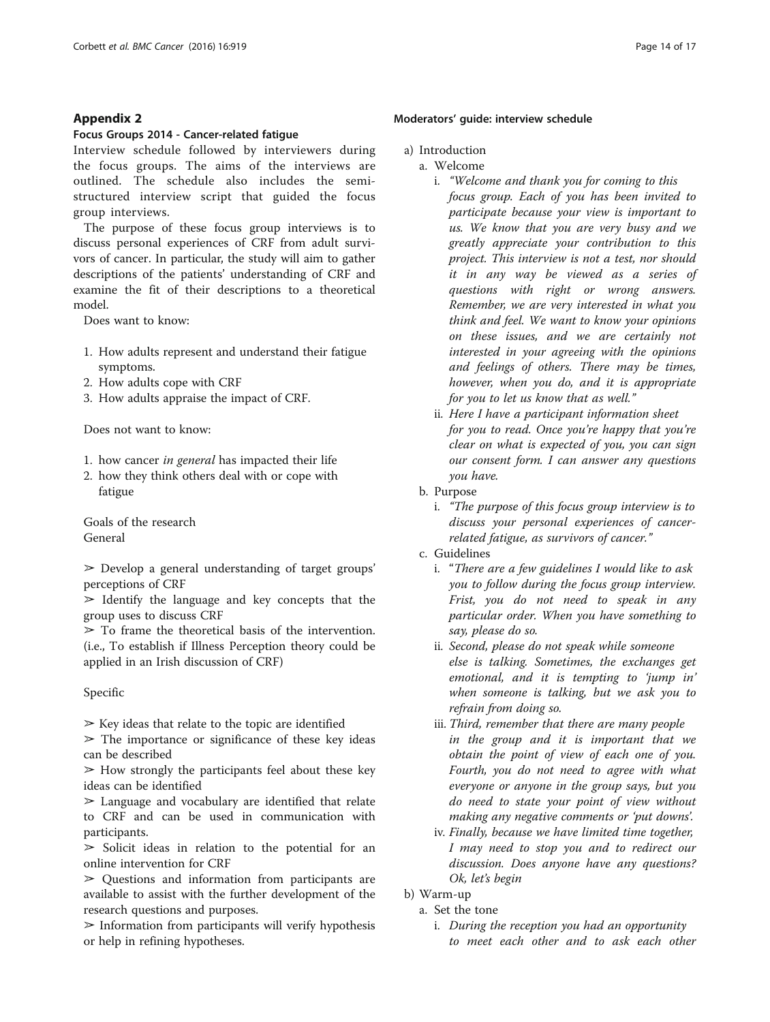#### <span id="page-13-0"></span>Appendix 2

#### Focus Groups 2014 - Cancer-related fatigue

Interview schedule followed by interviewers during the focus groups. The aims of the interviews are outlined. The schedule also includes the semistructured interview script that guided the focus group interviews.

The purpose of these focus group interviews is to discuss personal experiences of CRF from adult survivors of cancer. In particular, the study will aim to gather descriptions of the patients' understanding of CRF and examine the fit of their descriptions to a theoretical model.

Does want to know:

- 1. How adults represent and understand their fatigue symptoms.
- 2. How adults cope with CRF
- 3. How adults appraise the impact of CRF.

Does not want to know:

- 1. how cancer in general has impacted their life
- 2. how they think others deal with or cope with fatigue

Goals of the research General

 $\geq$  Develop a general understanding of target groups' perceptions of CRF

 $>$  Identify the language and key concepts that the group uses to discuss CRF

 $\geq$  To frame the theoretical basis of the intervention. (i.e., To establish if Illness Perception theory could be applied in an Irish discussion of CRF)

Specific

 $\triangleright$  Key ideas that relate to the topic are identified

 $>$  The importance or significance of these key ideas can be described

 $>$  How strongly the participants feel about these key ideas can be identified

 $\geq$  Language and vocabulary are identified that relate to CRF and can be used in communication with participants.

 $\geq$  Solicit ideas in relation to the potential for an online intervention for CRF

 $\geq$  Questions and information from participants are available to assist with the further development of the research questions and purposes.

 $\geq$  Information from participants will verify hypothesis or help in refining hypotheses.

#### Moderators' guide: interview schedule

# a) Introduction

- a. Welcome
	- i. "Welcome and thank you for coming to this focus group. Each of you has been invited to participate because your view is important to us. We know that you are very busy and we greatly appreciate your contribution to this project. This interview is not a test, nor should it in any way be viewed as a series of questions with right or wrong answers. Remember, we are very interested in what you think and feel. We want to know your opinions on these issues, and we are certainly not interested in your agreeing with the opinions and feelings of others. There may be times, however, when you do, and it is appropriate for you to let us know that as well."
	- ii. Here I have a participant information sheet for you to read. Once you're happy that you're clear on what is expected of you, you can sign our consent form. I can answer any questions you have.
- b. Purpose
	- i. "The purpose of this focus group interview is to discuss your personal experiences of cancerrelated fatigue, as survivors of cancer."
- c. Guidelines
	- i. "There are a few guidelines I would like to ask you to follow during the focus group interview. Frist, you do not need to speak in any particular order. When you have something to say, please do so.
	- ii. Second, please do not speak while someone else is talking. Sometimes, the exchanges get emotional, and it is tempting to 'jump in' when someone is talking, but we ask you to refrain from doing so.
	- iii. Third, remember that there are many people in the group and it is important that we obtain the point of view of each one of you. Fourth, you do not need to agree with what everyone or anyone in the group says, but you do need to state your point of view without making any negative comments or 'put downs'.
	- iv. Finally, because we have limited time together, I may need to stop you and to redirect our discussion. Does anyone have any questions? Ok, let's begin
- b) Warm-up
	- a. Set the tone
		- i. During the reception you had an opportunity to meet each other and to ask each other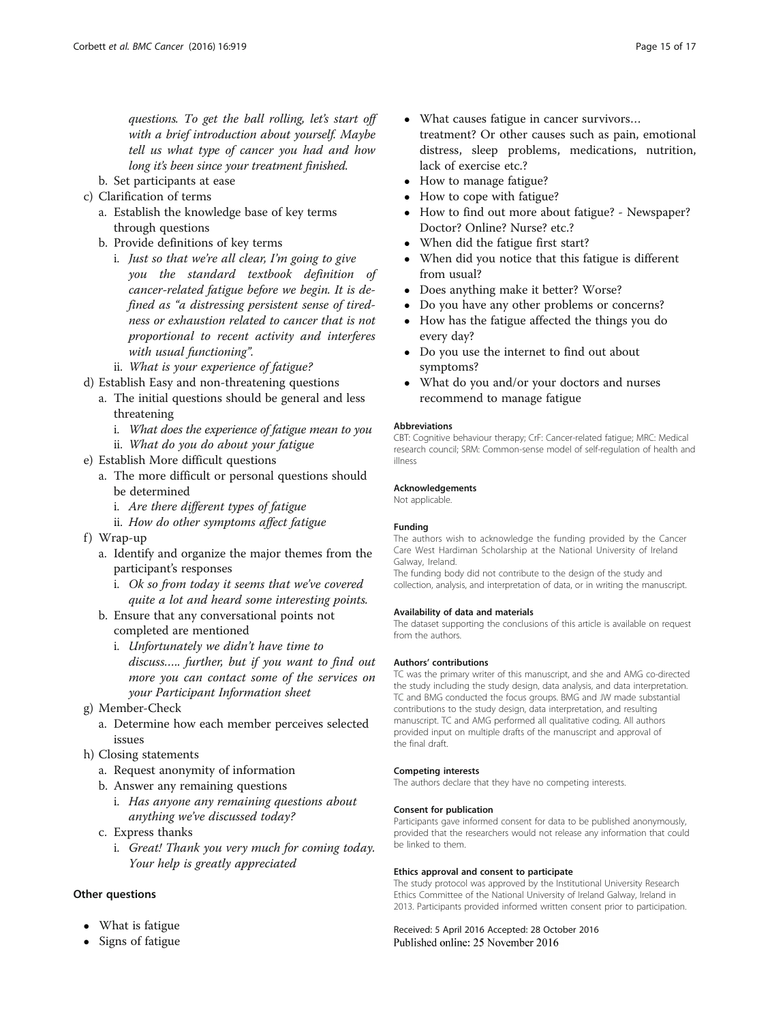<span id="page-14-0"></span>questions. To get the ball rolling, let's start off with a brief introduction about yourself. Maybe tell us what type of cancer you had and how long it's been since your treatment finished.

- b. Set participants at ease
- c) Clarification of terms
	- a. Establish the knowledge base of key terms through questions
	- b. Provide definitions of key terms
		- i. Just so that we're all clear, I'm going to give you the standard textbook definition of cancer-related fatigue before we begin. It is defined as "a distressing persistent sense of tiredness or exhaustion related to cancer that is not proportional to recent activity and interferes with usual functioning".
		- ii. What is your experience of fatigue?
- d) Establish Easy and non-threatening questions
	- a. The initial questions should be general and less threatening
		- i. What does the experience of fatigue mean to you
	- ii. What do you do about your fatigue
- e) Establish More difficult questions
	- a. The more difficult or personal questions should be determined
		- i. Are there different types of fatigue
		- ii. How do other symptoms affect fatigue
- f) Wrap-up
	- a. Identify and organize the major themes from the participant's responses
		- i. Ok so from today it seems that we've covered quite a lot and heard some interesting points.
	- b. Ensure that any conversational points not completed are mentioned
		- i. Unfortunately we didn't have time to discuss….. further, but if you want to find out more you can contact some of the services on your Participant Information sheet
- g) Member-Check
	- a. Determine how each member perceives selected issues
- h) Closing statements
	- a. Request anonymity of information
	- b. Answer any remaining questions
		- i. Has anyone any remaining questions about anything we've discussed today?
	- c. Express thanks
		- i. Great! Thank you very much for coming today. Your help is greatly appreciated

#### Other questions

- What is fatigue
- Signs of fatigue
- What causes fatigue in cancer survivors… treatment? Or other causes such as pain, emotional distress, sleep problems, medications, nutrition, lack of exercise etc.?
- How to manage fatigue?
- How to cope with fatigue?
- How to find out more about fatigue? Newspaper? Doctor? Online? Nurse? etc.?
- When did the fatigue first start?
- When did you notice that this fatigue is different from usual?
- Does anything make it better? Worse?
- Do you have any other problems or concerns?<br>• How has the fatigue affected the things you do
- How has the fatigue affected the things you do every day?
- Do you use the internet to find out about symptoms?
- What do you and/or your doctors and nurses recommend to manage fatigue

#### Abbreviations

CBT: Cognitive behaviour therapy; CrF: Cancer-related fatigue; MRC: Medical research council; SRM: Common-sense model of self-regulation of health and illness

#### Acknowledgements

Not applicable.

#### Funding

The authors wish to acknowledge the funding provided by the Cancer Care West Hardiman Scholarship at the National University of Ireland Galway, Ireland.

The funding body did not contribute to the design of the study and collection, analysis, and interpretation of data, or in writing the manuscript.

#### Availability of data and materials

The dataset supporting the conclusions of this article is available on request from the authors.

#### Authors' contributions

TC was the primary writer of this manuscript, and she and AMG co-directed the study including the study design, data analysis, and data interpretation. TC and BMG conducted the focus groups. BMG and JW made substantial contributions to the study design, data interpretation, and resulting manuscript. TC and AMG performed all qualitative coding. All authors provided input on multiple drafts of the manuscript and approval of the final draft.

#### Competing interests

The authors declare that they have no competing interests.

#### Consent for publication

Participants gave informed consent for data to be published anonymously, provided that the researchers would not release any information that could be linked to them.

#### Ethics approval and consent to participate

The study protocol was approved by the Institutional University Research Ethics Committee of the National University of Ireland Galway, Ireland in 2013. Participants provided informed written consent prior to participation.

#### Received: 5 April 2016 Accepted: 28 October 2016 Published online: 25 November 2016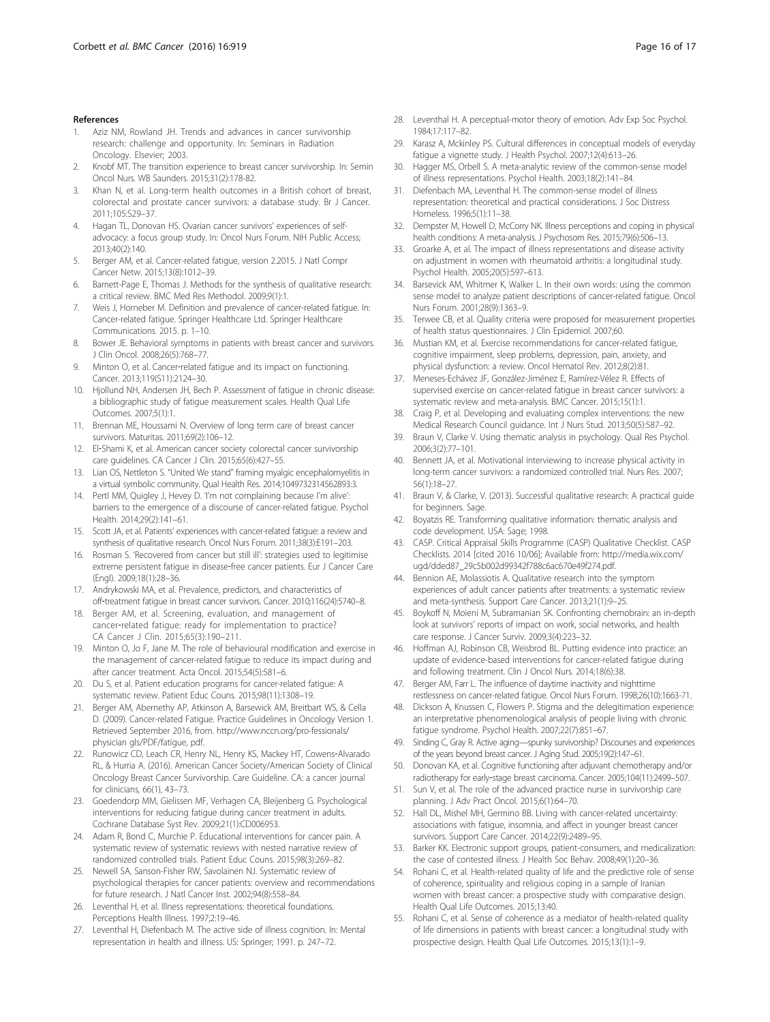#### <span id="page-15-0"></span>References

- 1. Aziz NM, Rowland JH. Trends and advances in cancer survivorship research: challenge and opportunity. In: Seminars in Radiation Oncology. Elsevier; 2003.
- 2. Knobf MT. The transition experience to breast cancer survivorship. In: Semin Oncol Nurs. WB Saunders. 2015;31(2):178-82.
- Khan N, et al. Long-term health outcomes in a British cohort of breast, colorectal and prostate cancer survivors: a database study. Br J Cancer. 2011;105:S29–37.
- 4. Hagan TL, Donovan HS. Ovarian cancer survivors' experiences of selfadvocacy: a focus group study. In: Oncol Nurs Forum. NIH Public Access; 2013;40(2):140.
- 5. Berger AM, et al. Cancer-related fatigue, version 2.2015. J Natl Compr Cancer Netw. 2015;13(8):1012–39.
- 6. Barnett-Page E, Thomas J. Methods for the synthesis of qualitative research: a critical review. BMC Med Res Methodol. 2009;9(1):1.
- 7. Weis J, Horneber M. Definition and prevalence of cancer-related fatigue. In: Cancer-related fatigue. Springer Healthcare Ltd. Springer Healthcare Communications. 2015. p. 1–10.
- 8. Bower JE. Behavioral symptoms in patients with breast cancer and survivors. J Clin Oncol. 2008;26(5):768–77.
- 9. Minton O, et al. Cancer-related fatigue and its impact on functioning. Cancer. 2013;119(S11):2124–30.
- 10. Hjollund NH, Andersen JH, Bech P. Assessment of fatigue in chronic disease: a bibliographic study of fatigue measurement scales. Health Qual Life Outcomes. 2007;5(1):1.
- 11. Brennan ME, Houssami N. Overview of long term care of breast cancer survivors. Maturitas. 2011;69(2):106–12.
- 12. El-Shami K, et al. American cancer society colorectal cancer survivorship care guidelines. CA Cancer J Clin. 2015;65(6):427–55.
- 13. Lian OS, Nettleton S. "United We stand" framing myalgic encephalomyelitis in a virtual symbolic community. Qual Health Res. 2014;1049732314562893:3.
- 14. Pertl MM, Quigley J, Hevey D. 'I'm not complaining because I'm alive': barriers to the emergence of a discourse of cancer-related fatigue. Psychol Health. 2014;29(2):141–61.
- 15. Scott JA, et al. Patients' experiences with cancer-related fatigue: a review and synthesis of qualitative research. Oncol Nurs Forum. 2011;38(3):E191–203.
- 16. Rosman S. 'Recovered from cancer but still ill': strategies used to legitimise extreme persistent fatique in disease-free cancer patients. Eur J Cancer Care (Engl). 2009;18(1):28–36.
- 17. Andrykowski MA, et al. Prevalence, predictors, and characteristics of off-treatment fatigue in breast cancer survivors. Cancer. 2010;116(24):5740-8.
- 18. Berger AM, et al. Screening, evaluation, and management of cancer-related fatigue: ready for implementation to practice? CA Cancer J Clin. 2015;65(3):190–211.
- 19. Minton O, Jo F, Jane M. The role of behavioural modification and exercise in the management of cancer-related fatigue to reduce its impact during and after cancer treatment. Acta Oncol. 2015;54(5):581–6.
- 20. Du S, et al. Patient education programs for cancer-related fatigue: A systematic review. Patient Educ Couns. 2015;98(11):1308–19.
- 21. Berger AM, Abernethy AP, Atkinson A, Barsewick AM, Breitbart WS, & Cella D. (2009). Cancer-related Fatigue. Practice Guidelines in Oncology Version 1. Retrieved September 2016, from. [http://www.nccn.org/pro-fessionals/](http://www.nccn.org/pro-fessionals/physician%20gls/PDF/fatigue,%20pdf) [physician gls/PDF/fatigue, pdf](http://www.nccn.org/pro-fessionals/physician%20gls/PDF/fatigue,%20pdf).
- 22. Runowicz CD, Leach CR, Henry NL, Henry KS, Mackey HT, Cowens‐Alvarado RL, & Hurria A. (2016). American Cancer Society/American Society of Clinical Oncology Breast Cancer Survivorship. Care Guideline. CA: a cancer journal for clinicians, 66(1), 43–73.
- 23. Goedendorp MM, Gielissen MF, Verhagen CA, Bleijenberg G. Psychological interventions for reducing fatigue during cancer treatment in adults. Cochrane Database Syst Rev. 2009;21(1):CD006953.
- 24. Adam R, Bond C, Murchie P. Educational interventions for cancer pain. A systematic review of systematic reviews with nested narrative review of randomized controlled trials. Patient Educ Couns. 2015;98(3):269–82.
- 25. Newell SA, Sanson-Fisher RW, Savolainen NJ. Systematic review of psychological therapies for cancer patients: overview and recommendations for future research. J Natl Cancer Inst. 2002;94(8):558–84.
- 26. Leventhal H, et al. Illness representations: theoretical foundations. Perceptions Health Illness. 1997;2:19–46.
- 27. Leventhal H, Diefenbach M. The active side of illness cognition. In: Mental representation in health and illness. US: Springer; 1991. p. 247–72.
- 28. Leventhal H. A perceptual-motor theory of emotion. Adv Exp Soc Psychol. 1984;17:117–82.
- 29. Karasz A, Mckinley PS. Cultural differences in conceptual models of everyday fatigue a vignette study. J Health Psychol. 2007;12(4):613–26.
- 30. Hagger MS, Orbell S. A meta-analytic review of the common-sense model of illness representations. Psychol Health. 2003;18(2):141–84.
- 31. Diefenbach MA, Leventhal H. The common-sense model of illness representation: theoretical and practical considerations. J Soc Distress Homeless. 1996;5(1):11–38.
- 32. Dempster M, Howell D, McCorry NK. Illness perceptions and coping in physical health conditions: A meta-analysis. J Psychosom Res. 2015;79(6):506–13.
- 33. Groarke A, et al. The impact of illness representations and disease activity on adjustment in women with rheumatoid arthritis: a longitudinal study. Psychol Health. 2005;20(5):597–613.
- 34. Barsevick AM, Whitmer K, Walker L. In their own words: using the common sense model to analyze patient descriptions of cancer-related fatigue. Oncol Nurs Forum. 2001;28(9):1363–9.
- 35. Terwee CB, et al. Quality criteria were proposed for measurement properties of health status questionnaires. J Clin Epidemiol. 2007;60.
- 36. Mustian KM, et al. Exercise recommendations for cancer-related fatigue, cognitive impairment, sleep problems, depression, pain, anxiety, and physical dysfunction: a review. Oncol Hematol Rev. 2012;8(2):81.
- 37. Meneses-Echávez JF, González-Jiménez E, Ramírez-Vélez R. Effects of supervised exercise on cancer-related fatigue in breast cancer survivors: a systematic review and meta-analysis. BMC Cancer. 2015;15(1):1.
- 38. Craig P, et al. Developing and evaluating complex interventions: the new Medical Research Council guidance. Int J Nurs Stud. 2013;50(5):587–92.
- 39. Braun V, Clarke V. Using thematic analysis in psychology. Qual Res Psychol. 2006;3(2):77–101.
- 40. Bennett JA, et al. Motivational interviewing to increase physical activity in long-term cancer survivors: a randomized controlled trial. Nurs Res. 2007; 56(1):18–27.
- 41. Braun V, & Clarke, V. (2013). Successful qualitative research: A practical guide for beginners. Sage.
- 42. Boyatzis RE. Transforming qualitative information: thematic analysis and code development. USA: Sage; 1998.
- 43. CASP. Critical Appraisal Skills Programme (CASP) Qualitative Checklist. CASP Checklists. 2014 [cited 2016 10/06]; Available from: [http://media.wix.com/](http://media.wix.com/ugd/dded87_29c5b002d99342f788c6ac670e49f274.pdf) [ugd/dded87\\_29c5b002d99342f788c6ac670e49f274.pdf.](http://media.wix.com/ugd/dded87_29c5b002d99342f788c6ac670e49f274.pdf)
- 44. Bennion AE, Molassiotis A. Qualitative research into the symptom experiences of adult cancer patients after treatments: a systematic review and meta-synthesis. Support Care Cancer. 2013;21(1):9–25.
- 45. Boykoff N, Moieni M, Subramanian SK. Confronting chemobrain: an in-depth look at survivors' reports of impact on work, social networks, and health care response. J Cancer Surviv. 2009;3(4):223–32.
- 46. Hoffman AJ, Robinson CB, Weisbrod BL. Putting evidence into practice: an update of evidence-based interventions for cancer-related fatigue during and following treatment. Clin J Oncol Nurs. 2014;18(6):38.
- 47. Berger AM, Farr L. The influence of daytime inactivity and nighttime restlessness on cancer-related fatigue. Oncol Nurs Forum. 1998;26(10):1663-71.
- 48. Dickson A, Knussen C, Flowers P. Stigma and the delegitimation experience: an interpretative phenomenological analysis of people living with chronic fatigue syndrome. Psychol Health. 2007;22(7):851–67.
- 49. Sinding C, Gray R. Active aging—spunky survivorship? Discourses and experiences of the years beyond breast cancer. J Aging Stud. 2005;19(2):147–61.
- 50. Donovan KA, et al. Cognitive functioning after adjuvant chemotherapy and/or radiotherapy for early‐stage breast carcinoma. Cancer. 2005;104(11):2499–507.
- 51. Sun V, et al. The role of the advanced practice nurse in survivorship care planning. J Adv Pract Oncol. 2015;6(1):64–70.
- 52. Hall DL, Mishel MH, Germino BB. Living with cancer-related uncertainty: associations with fatigue, insomnia, and affect in younger breast cancer survivors. Support Care Cancer. 2014;22(9):2489–95.
- 53. Barker KK. Electronic support groups, patient-consumers, and medicalization: the case of contested illness. J Health Soc Behav. 2008;49(1):20–36.
- 54. Rohani C, et al. Health-related quality of life and the predictive role of sense of coherence, spirituality and religious coping in a sample of Iranian women with breast cancer: a prospective study with comparative design. Health Qual Life Outcomes. 2015;13:40.
- 55. Rohani C, et al. Sense of coherence as a mediator of health-related quality of life dimensions in patients with breast cancer: a longitudinal study with prospective design. Health Qual Life Outcomes. 2015;13(1):1–9.